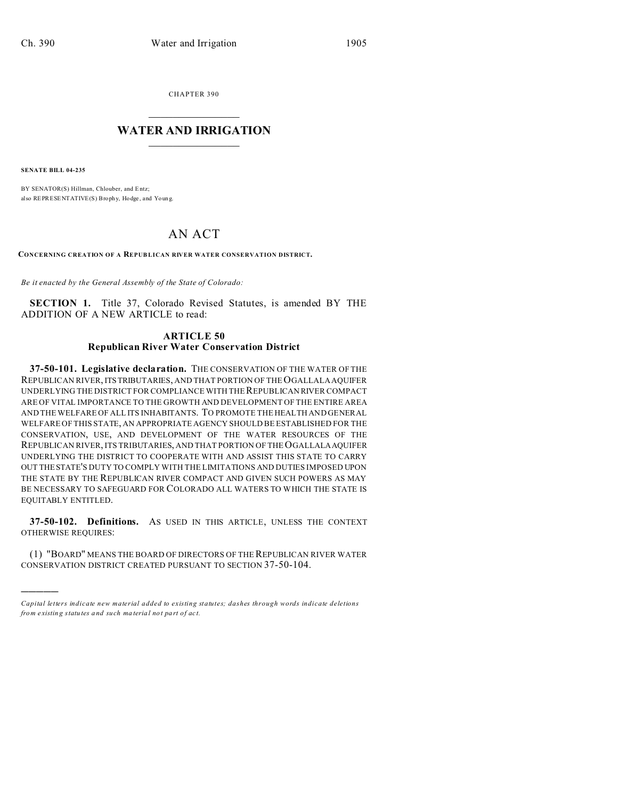CHAPTER 390  $\overline{\phantom{a}}$  , where  $\overline{\phantom{a}}$ 

## **WATER AND IRRIGATION**  $\_$   $\_$   $\_$   $\_$   $\_$   $\_$   $\_$   $\_$   $\_$

**SENATE BILL 04-235**

)))))

BY SENATOR(S) Hillman, Chlouber, and Entz; also REPRESENTATIVE(S) Brophy, Hodge, and Young.

# AN ACT

**CONCERNING CREATION OF A REPUB LICAN RIVER WATER CONSERVATION DISTRICT.**

*Be it enacted by the General Assembly of the State of Colorado:*

**SECTION 1.** Title 37, Colorado Revised Statutes, is amended BY THE ADDITION OF A NEW ARTICLE to read:

#### **ARTICLE 50 Republican River Water Conservation District**

**37-50-101. Legislative declaration.** THE CONSERVATION OF THE WATER OF THE REPUBLICAN RIVER, ITSTRIBUTARIES, AND THAT PORTION OF THE OGALLALA AQUIFER UNDERLYING THE DISTRICT FOR COMPLIANCE WITH THE REPUBLICAN RIVER COMPACT ARE OF VITAL IMPORTANCE TO THE GROWTH AND DEVELOPMENT OF THE ENTIRE AREA AND THE WELFARE OF ALL ITS INHABITANTS. TO PROMOTE THE HEALTH AND GENERAL WELFARE OF THIS STATE, AN APPROPRIATE AGENCY SHOULD BE ESTABLISHED FOR THE CONSERVATION, USE, AND DEVELOPMENT OF THE WATER RESOURCES OF THE REPUBLICAN RIVER, ITS TRIBUTARIES, AND THAT PORTION OF THE OGALLALAAQUIFER UNDERLYING THE DISTRICT TO COOPERATE WITH AND ASSIST THIS STATE TO CARRY OUT THESTATE'S DUTY TO COMPLY WITH THE LIMITATIONS AND DUTIES IMPOSED UPON THE STATE BY THE REPUBLICAN RIVER COMPACT AND GIVEN SUCH POWERS AS MAY BE NECESSARY TO SAFEGUARD FOR COLORADO ALL WATERS TO WHICH THE STATE IS EQUITABLY ENTITLED.

**37-50-102. Definitions.** AS USED IN THIS ARTICLE, UNLESS THE CONTEXT OTHERWISE REQUIRES:

(1) "BOARD" MEANS THE BOARD OF DIRECTORS OF THE REPUBLICAN RIVER WATER CONSERVATION DISTRICT CREATED PURSUANT TO SECTION 37-50-104.

*Capital letters indicate new material added to existing statutes; dashes through words indicate deletions from e xistin g statu tes a nd such ma teria l no t pa rt of ac t.*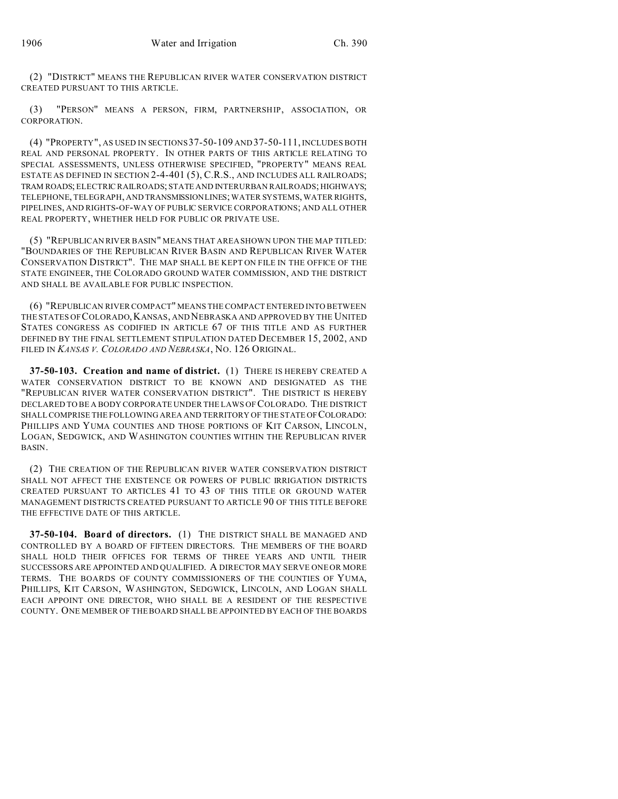(2) "DISTRICT" MEANS THE REPUBLICAN RIVER WATER CONSERVATION DISTRICT CREATED PURSUANT TO THIS ARTICLE.

(3) "PERSON" MEANS A PERSON, FIRM, PARTNERSHIP, ASSOCIATION, OR CORPORATION.

(4) "PROPERTY", AS USED IN SECTIONS37-50-109 AND 37-50-111, INCLUDES BOTH REAL AND PERSONAL PROPERTY. IN OTHER PARTS OF THIS ARTICLE RELATING TO SPECIAL ASSESSMENTS, UNLESS OTHERWISE SPECIFIED, "PROPERTY" MEANS REAL ESTATE AS DEFINED IN SECTION 2-4-401 (5), C.R.S., AND INCLUDES ALL RAILROADS; TRAM ROADS; ELECTRIC RAILROADS; STATE AND INTERURBAN RAILROADS; HIGHWAYS; TELEPHONE, TELEGRAPH, AND TRANSMISSIONLINES; WATER SYSTEMS, WATER RIGHTS, PIPELINES, AND RIGHTS-OF-WAY OF PUBLIC SERVICE CORPORATIONS; AND ALL OTHER REAL PROPERTY, WHETHER HELD FOR PUBLIC OR PRIVATE USE.

(5) "REPUBLICAN RIVER BASIN" MEANS THAT AREA SHOWN UPON THE MAP TITLED: "BOUNDARIES OF THE REPUBLICAN RIVER BASIN AND REPUBLICAN RIVER WATER CONSERVATION DISTRICT". THE MAP SHALL BE KEPT ON FILE IN THE OFFICE OF THE STATE ENGINEER, THE COLORADO GROUND WATER COMMISSION, AND THE DISTRICT AND SHALL BE AVAILABLE FOR PUBLIC INSPECTION.

(6) "REPUBLICAN RIVER COMPACT" MEANS THE COMPACT ENTERED INTO BETWEEN THE STATES OF COLORADO,KANSAS, AND NEBRASKA AND APPROVED BY THE UNITED STATES CONGRESS AS CODIFIED IN ARTICLE 67 OF THIS TITLE AND AS FURTHER DEFINED BY THE FINAL SETTLEMENT STIPULATION DATED DECEMBER 15, 2002, AND FILED IN *KANSAS V. COLORADO AND NEBRASKA*, NO. 126 ORIGINAL.

**37-50-103. Creation and name of district.** (1) THERE IS HEREBY CREATED A WATER CONSERVATION DISTRICT TO BE KNOWN AND DESIGNATED AS THE "REPUBLICAN RIVER WATER CONSERVATION DISTRICT". THE DISTRICT IS HEREBY DECLARED TO BE A BODY CORPORATE UNDER THE LAWS OF COLORADO. THE DISTRICT SHALL COMPRISE THE FOLLOWING AREA AND TERRITORY OF THE STATE OF COLORADO: PHILLIPS AND YUMA COUNTIES AND THOSE PORTIONS OF KIT CARSON, LINCOLN, LOGAN, SEDGWICK, AND WASHINGTON COUNTIES WITHIN THE REPUBLICAN RIVER BASIN.

(2) THE CREATION OF THE REPUBLICAN RIVER WATER CONSERVATION DISTRICT SHALL NOT AFFECT THE EXISTENCE OR POWERS OF PUBLIC IRRIGATION DISTRICTS CREATED PURSUANT TO ARTICLES 41 TO 43 OF THIS TITLE OR GROUND WATER MANAGEMENT DISTRICTS CREATED PURSUANT TO ARTICLE 90 OF THIS TITLE BEFORE THE EFFECTIVE DATE OF THIS ARTICLE.

**37-50-104. Board of directors.** (1) THE DISTRICT SHALL BE MANAGED AND CONTROLLED BY A BOARD OF FIFTEEN DIRECTORS. THE MEMBERS OF THE BOARD SHALL HOLD THEIR OFFICES FOR TERMS OF THREE YEARS AND UNTIL THEIR SUCCESSORS ARE APPOINTED AND QUALIFIED. A DIRECTOR MAY SERVE ONE OR MORE TERMS. THE BOARDS OF COUNTY COMMISSIONERS OF THE COUNTIES OF YUMA, PHILLIPS, KIT CARSON, WASHINGTON, SEDGWICK, LINCOLN, AND LOGAN SHALL EACH APPOINT ONE DIRECTOR, WHO SHALL BE A RESIDENT OF THE RESPECTIVE COUNTY. ONE MEMBER OF THE BOARD SHALL BE APPOINTED BY EACH OF THE BOARDS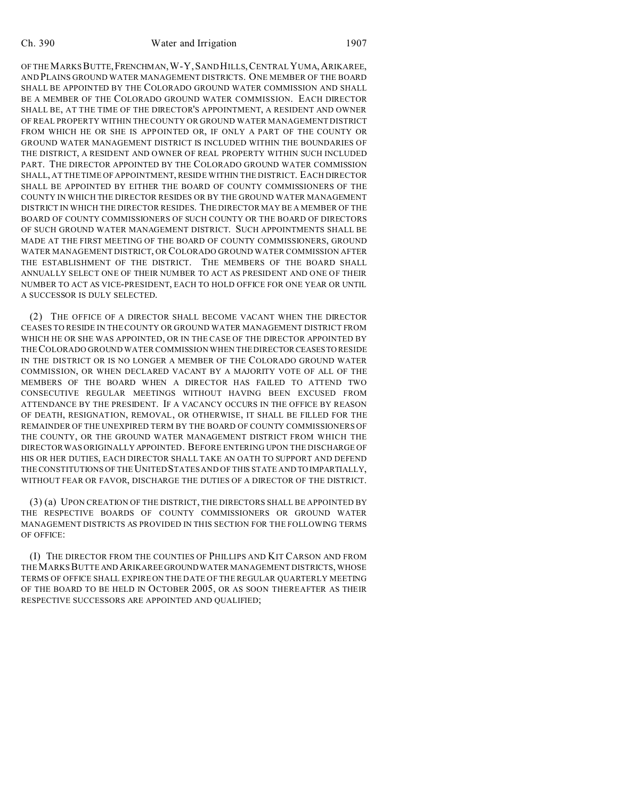OF THE MARKS BUTTE,FRENCHMAN,W-Y,SAND HILLS,CENTRAL YUMA,ARIKAREE, AND PLAINS GROUND WATER MANAGEMENT DISTRICTS. ONE MEMBER OF THE BOARD SHALL BE APPOINTED BY THE COLORADO GROUND WATER COMMISSION AND SHALL BE A MEMBER OF THE COLORADO GROUND WATER COMMISSION. EACH DIRECTOR SHALL BE, AT THE TIME OF THE DIRECTOR'S APPOINTMENT, A RESIDENT AND OWNER OF REAL PROPERTY WITHIN THE COUNTY OR GROUND WATER MANAGEMENT DISTRICT FROM WHICH HE OR SHE IS APPOINTED OR, IF ONLY A PART OF THE COUNTY OR GROUND WATER MANAGEMENT DISTRICT IS INCLUDED WITHIN THE BOUNDARIES OF THE DISTRICT, A RESIDENT AND OWNER OF REAL PROPERTY WITHIN SUCH INCLUDED PART. THE DIRECTOR APPOINTED BY THE COLORADO GROUND WATER COMMISSION SHALL, AT THE TIME OF APPOINTMENT, RESIDE WITHIN THE DISTRICT. EACH DIRECTOR SHALL BE APPOINTED BY EITHER THE BOARD OF COUNTY COMMISSIONERS OF THE COUNTY IN WHICH THE DIRECTOR RESIDES OR BY THE GROUND WATER MANAGEMENT DISTRICT IN WHICH THE DIRECTOR RESIDES. THE DIRECTOR MAY BE A MEMBER OF THE BOARD OF COUNTY COMMISSIONERS OF SUCH COUNTY OR THE BOARD OF DIRECTORS OF SUCH GROUND WATER MANAGEMENT DISTRICT. SUCH APPOINTMENTS SHALL BE MADE AT THE FIRST MEETING OF THE BOARD OF COUNTY COMMISSIONERS, GROUND WATER MANAGEMENT DISTRICT, OR COLORADO GROUND WATER COMMISSION AFTER THE ESTABLISHMENT OF THE DISTRICT. THE MEMBERS OF THE BOARD SHALL ANNUALLY SELECT ONE OF THEIR NUMBER TO ACT AS PRESIDENT AND ONE OF THEIR NUMBER TO ACT AS VICE-PRESIDENT, EACH TO HOLD OFFICE FOR ONE YEAR OR UNTIL A SUCCESSOR IS DULY SELECTED.

(2) THE OFFICE OF A DIRECTOR SHALL BECOME VACANT WHEN THE DIRECTOR CEASES TO RESIDE IN THE COUNTY OR GROUND WATER MANAGEMENT DISTRICT FROM WHICH HE OR SHE WAS APPOINTED, OR IN THE CASE OF THE DIRECTOR APPOINTED BY THECOLORADO GROUND WATER COMMISSION WHEN THE DIRECTORCEASESTO RESIDE IN THE DISTRICT OR IS NO LONGER A MEMBER OF THE COLORADO GROUND WATER COMMISSION, OR WHEN DECLARED VACANT BY A MAJORITY VOTE OF ALL OF THE MEMBERS OF THE BOARD WHEN A DIRECTOR HAS FAILED TO ATTEND TWO CONSECUTIVE REGULAR MEETINGS WITHOUT HAVING BEEN EXCUSED FROM ATTENDANCE BY THE PRESIDENT. IF A VACANCY OCCURS IN THE OFFICE BY REASON OF DEATH, RESIGNATION, REMOVAL, OR OTHERWISE, IT SHALL BE FILLED FOR THE REMAINDER OF THE UNEXPIRED TERM BY THE BOARD OF COUNTY COMMISSIONERS OF THE COUNTY, OR THE GROUND WATER MANAGEMENT DISTRICT FROM WHICH THE DIRECTOR WAS ORIGINALLY APPOINTED. BEFORE ENTERING UPON THE DISCHARGE OF HIS OR HER DUTIES, EACH DIRECTOR SHALL TAKE AN OATH TO SUPPORT AND DEFEND THE CONSTITUTIONS OF THE UNITED STATES AND OF THIS STATE AND TO IMPARTIALLY, WITHOUT FEAR OR FAVOR, DISCHARGE THE DUTIES OF A DIRECTOR OF THE DISTRICT.

(3) (a) UPON CREATION OF THE DISTRICT, THE DIRECTORS SHALL BE APPOINTED BY THE RESPECTIVE BOARDS OF COUNTY COMMISSIONERS OR GROUND WATER MANAGEMENT DISTRICTS AS PROVIDED IN THIS SECTION FOR THE FOLLOWING TERMS OF OFFICE:

(I) THE DIRECTOR FROM THE COUNTIES OF PHILLIPS AND KIT CARSON AND FROM THEMARKS BUTTE AND ARIKAREE GROUNDWATER MANAGEMENT DISTRICTS, WHOSE TERMS OF OFFICE SHALL EXPIRE ON THE DATE OF THE REGULAR QUARTERLY MEETING OF THE BOARD TO BE HELD IN OCTOBER 2005, OR AS SOON THEREAFTER AS THEIR RESPECTIVE SUCCESSORS ARE APPOINTED AND QUALIFIED;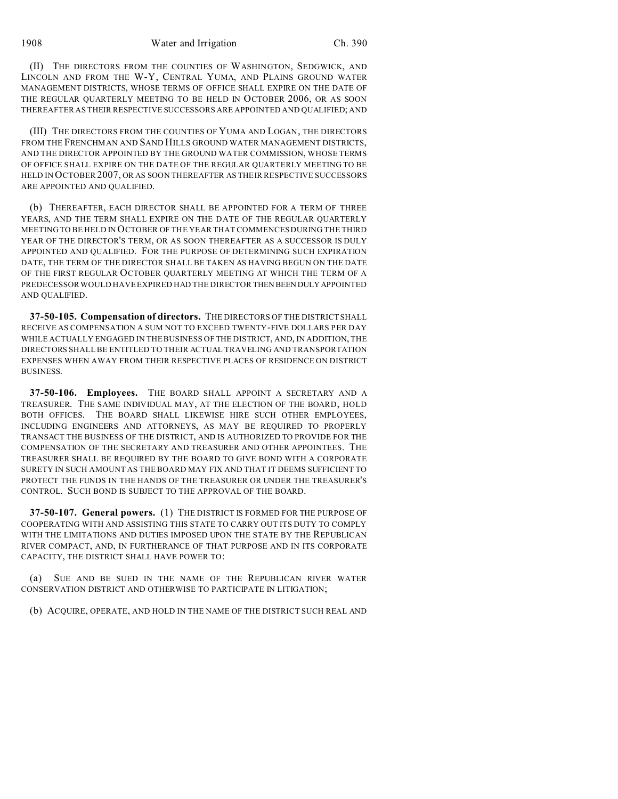(II) THE DIRECTORS FROM THE COUNTIES OF WASHINGTON, SEDGWICK, AND LINCOLN AND FROM THE W-Y, CENTRAL YUMA, AND PLAINS GROUND WATER MANAGEMENT DISTRICTS, WHOSE TERMS OF OFFICE SHALL EXPIRE ON THE DATE OF THE REGULAR QUARTERLY MEETING TO BE HELD IN OCTOBER 2006, OR AS SOON THEREAFTER AS THEIR RESPECTIVE SUCCESSORS ARE APPOINTED AND QUALIFIED; AND

(III) THE DIRECTORS FROM THE COUNTIES OF YUMA AND LOGAN, THE DIRECTORS FROM THE FRENCHMAN AND SAND HILLS GROUND WATER MANAGEMENT DISTRICTS, AND THE DIRECTOR APPOINTED BY THE GROUND WATER COMMISSION, WHOSE TERMS OF OFFICE SHALL EXPIRE ON THE DATE OF THE REGULAR QUARTERLY MEETING TO BE HELD IN OCTOBER 2007, OR AS SOON THEREAFTER AS THEIR RESPECTIVE SUCCESSORS ARE APPOINTED AND QUALIFIED.

(b) THEREAFTER, EACH DIRECTOR SHALL BE APPOINTED FOR A TERM OF THREE YEARS, AND THE TERM SHALL EXPIRE ON THE DATE OF THE REGULAR QUARTERLY MEETING TO BE HELD IN OCTOBER OF THE YEAR THAT COMMENCES DURING THE THIRD YEAR OF THE DIRECTOR'S TERM, OR AS SOON THEREAFTER AS A SUCCESSOR IS DULY APPOINTED AND QUALIFIED. FOR THE PURPOSE OF DETERMINING SUCH EXPIRATION DATE, THE TERM OF THE DIRECTOR SHALL BE TAKEN AS HAVING BEGUN ON THE DATE OF THE FIRST REGULAR OCTOBER QUARTERLY MEETING AT WHICH THE TERM OF A PREDECESSOR WOULD HAVE EXPIRED HAD THE DIRECTOR THEN BEEN DULYAPPOINTED AND QUALIFIED.

**37-50-105. Compensation of directors.** THE DIRECTORS OF THE DISTRICT SHALL RECEIVE AS COMPENSATION A SUM NOT TO EXCEED TWENTY-FIVE DOLLARS PER DAY WHILE ACTUALLY ENGAGED IN THE BUSINESS OF THE DISTRICT, AND, IN ADDITION, THE DIRECTORS SHALL BE ENTITLED TO THEIR ACTUAL TRAVELING AND TRANSPORTATION EXPENSES WHEN AWAY FROM THEIR RESPECTIVE PLACES OF RESIDENCE ON DISTRICT BUSINESS.

**37-50-106. Employees.** THE BOARD SHALL APPOINT A SECRETARY AND A TREASURER. THE SAME INDIVIDUAL MAY, AT THE ELECTION OF THE BOARD, HOLD BOTH OFFICES. THE BOARD SHALL LIKEWISE HIRE SUCH OTHER EMPLOYEES, INCLUDING ENGINEERS AND ATTORNEYS, AS MAY BE REQUIRED TO PROPERLY TRANSACT THE BUSINESS OF THE DISTRICT, AND IS AUTHORIZED TO PROVIDE FOR THE COMPENSATION OF THE SECRETARY AND TREASURER AND OTHER APPOINTEES. THE TREASURER SHALL BE REQUIRED BY THE BOARD TO GIVE BOND WITH A CORPORATE SURETY IN SUCH AMOUNT AS THE BOARD MAY FIX AND THAT IT DEEMS SUFFICIENT TO PROTECT THE FUNDS IN THE HANDS OF THE TREASURER OR UNDER THE TREASURER'S CONTROL. SUCH BOND IS SUBJECT TO THE APPROVAL OF THE BOARD.

**37-50-107. General powers.** (1) THE DISTRICT IS FORMED FOR THE PURPOSE OF COOPERATING WITH AND ASSISTING THIS STATE TO CARRY OUT ITS DUTY TO COMPLY WITH THE LIMITATIONS AND DUTIES IMPOSED UPON THE STATE BY THE REPUBLICAN RIVER COMPACT, AND, IN FURTHERANCE OF THAT PURPOSE AND IN ITS CORPORATE CAPACITY, THE DISTRICT SHALL HAVE POWER TO:

(a) SUE AND BE SUED IN THE NAME OF THE REPUBLICAN RIVER WATER CONSERVATION DISTRICT AND OTHERWISE TO PARTICIPATE IN LITIGATION;

(b) ACQUIRE, OPERATE, AND HOLD IN THE NAME OF THE DISTRICT SUCH REAL AND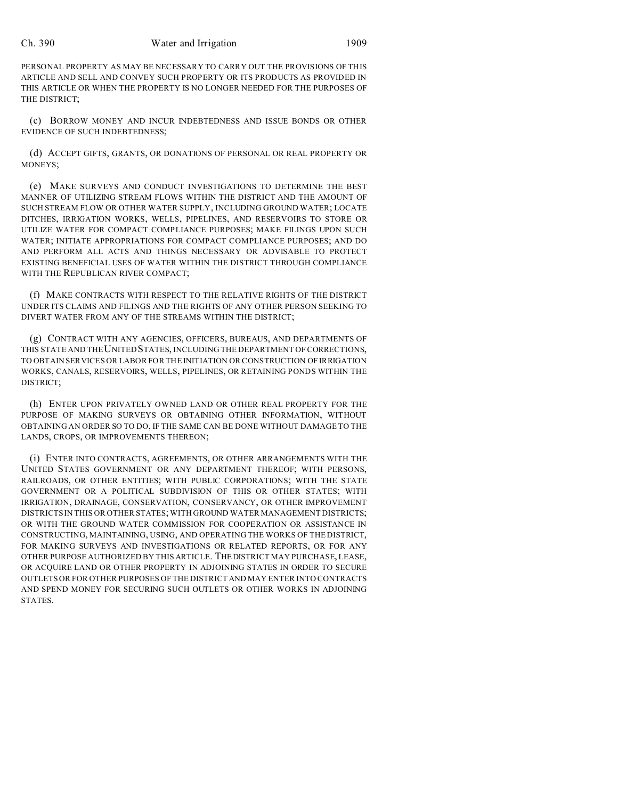#### Ch. 390 Water and Irrigation 1909

PERSONAL PROPERTY AS MAY BE NECESSARY TO CARRY OUT THE PROVISIONS OF THIS ARTICLE AND SELL AND CONVEY SUCH PROPERTY OR ITS PRODUCTS AS PROVIDED IN THIS ARTICLE OR WHEN THE PROPERTY IS NO LONGER NEEDED FOR THE PURPOSES OF THE DISTRICT;

(c) BORROW MONEY AND INCUR INDEBTEDNESS AND ISSUE BONDS OR OTHER EVIDENCE OF SUCH INDEBTEDNESS;

(d) ACCEPT GIFTS, GRANTS, OR DONATIONS OF PERSONAL OR REAL PROPERTY OR MONEYS;

(e) MAKE SURVEYS AND CONDUCT INVESTIGATIONS TO DETERMINE THE BEST MANNER OF UTILIZING STREAM FLOWS WITHIN THE DISTRICT AND THE AMOUNT OF SUCH STREAM FLOW OR OTHER WATER SUPPLY, INCLUDING GROUND WATER; LOCATE DITCHES, IRRIGATION WORKS, WELLS, PIPELINES, AND RESERVOIRS TO STORE OR UTILIZE WATER FOR COMPACT COMPLIANCE PURPOSES; MAKE FILINGS UPON SUCH WATER; INITIATE APPROPRIATIONS FOR COMPACT COMPLIANCE PURPOSES; AND DO AND PERFORM ALL ACTS AND THINGS NECESSARY OR ADVISABLE TO PROTECT EXISTING BENEFICIAL USES OF WATER WITHIN THE DISTRICT THROUGH COMPLIANCE WITH THE REPUBLICAN RIVER COMPACT;

(f) MAKE CONTRACTS WITH RESPECT TO THE RELATIVE RIGHTS OF THE DISTRICT UNDER ITS CLAIMS AND FILINGS AND THE RIGHTS OF ANY OTHER PERSON SEEKING TO DIVERT WATER FROM ANY OF THE STREAMS WITHIN THE DISTRICT;

(g) CONTRACT WITH ANY AGENCIES, OFFICERS, BUREAUS, AND DEPARTMENTS OF THIS STATE AND THE UNITED STATES, INCLUDING THE DEPARTMENT OF CORRECTIONS, TO OBTAIN SERVICES OR LABOR FOR THE INITIATION OR CONSTRUCTION OF IRRIGATION WORKS, CANALS, RESERVOIRS, WELLS, PIPELINES, OR RETAINING PONDS WITHIN THE DISTRICT;

(h) ENTER UPON PRIVATELY OWNED LAND OR OTHER REAL PROPERTY FOR THE PURPOSE OF MAKING SURVEYS OR OBTAINING OTHER INFORMATION, WITHOUT OBTAINING AN ORDER SO TO DO, IF THE SAME CAN BE DONE WITHOUT DAMAGE TO THE LANDS, CROPS, OR IMPROVEMENTS THEREON;

(i) ENTER INTO CONTRACTS, AGREEMENTS, OR OTHER ARRANGEMENTS WITH THE UNITED STATES GOVERNMENT OR ANY DEPARTMENT THEREOF; WITH PERSONS, RAILROADS, OR OTHER ENTITIES; WITH PUBLIC CORPORATIONS; WITH THE STATE GOVERNMENT OR A POLITICAL SUBDIVISION OF THIS OR OTHER STATES; WITH IRRIGATION, DRAINAGE, CONSERVATION, CONSERVANCY, OR OTHER IMPROVEMENT DISTRICTS IN THIS OR OTHER STATES; WITH GROUND WATER MANAGEMENT DISTRICTS; OR WITH THE GROUND WATER COMMISSION FOR COOPERATION OR ASSISTANCE IN CONSTRUCTING, MAINTAINING, USING, AND OPERATING THE WORKS OF THE DISTRICT, FOR MAKING SURVEYS AND INVESTIGATIONS OR RELATED REPORTS, OR FOR ANY OTHER PURPOSE AUTHORIZED BY THIS ARTICLE. THEDISTRICT MAY PURCHASE, LEASE, OR ACQUIRE LAND OR OTHER PROPERTY IN ADJOINING STATES IN ORDER TO SECURE OUTLETS OR FOR OTHER PURPOSES OF THE DISTRICT AND MAY ENTER INTO CONTRACTS AND SPEND MONEY FOR SECURING SUCH OUTLETS OR OTHER WORKS IN ADJOINING STATES.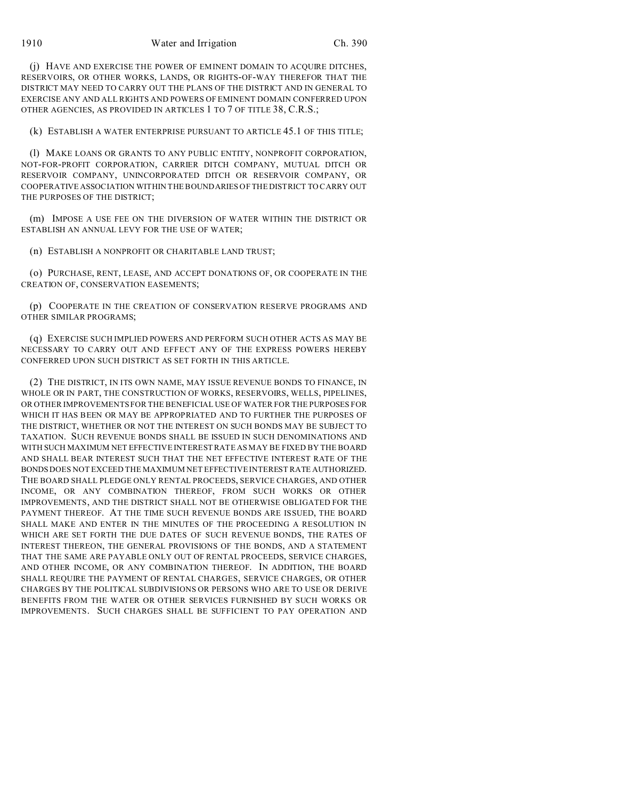(j) HAVE AND EXERCISE THE POWER OF EMINENT DOMAIN TO ACQUIRE DITCHES, RESERVOIRS, OR OTHER WORKS, LANDS, OR RIGHTS-OF-WAY THEREFOR THAT THE DISTRICT MAY NEED TO CARRY OUT THE PLANS OF THE DISTRICT AND IN GENERAL TO EXERCISE ANY AND ALL RIGHTS AND POWERS OF EMINENT DOMAIN CONFERRED UPON OTHER AGENCIES, AS PROVIDED IN ARTICLES 1 TO 7 OF TITLE 38, C.R.S.;

(k) ESTABLISH A WATER ENTERPRISE PURSUANT TO ARTICLE 45.1 OF THIS TITLE;

(l) MAKE LOANS OR GRANTS TO ANY PUBLIC ENTITY, NONPROFIT CORPORATION, NOT-FOR-PROFIT CORPORATION, CARRIER DITCH COMPANY, MUTUAL DITCH OR RESERVOIR COMPANY, UNINCORPORATED DITCH OR RESERVOIR COMPANY, OR COOPERATIVE ASSOCIATION WITHIN THE BOUNDARIES OF THE DISTRICT TO CARRY OUT THE PURPOSES OF THE DISTRICT;

(m) IMPOSE A USE FEE ON THE DIVERSION OF WATER WITHIN THE DISTRICT OR ESTABLISH AN ANNUAL LEVY FOR THE USE OF WATER;

(n) ESTABLISH A NONPROFIT OR CHARITABLE LAND TRUST;

(o) PURCHASE, RENT, LEASE, AND ACCEPT DONATIONS OF, OR COOPERATE IN THE CREATION OF, CONSERVATION EASEMENTS;

(p) COOPERATE IN THE CREATION OF CONSERVATION RESERVE PROGRAMS AND OTHER SIMILAR PROGRAMS;

(q) EXERCISE SUCH IMPLIED POWERS AND PERFORM SUCH OTHER ACTS AS MAY BE NECESSARY TO CARRY OUT AND EFFECT ANY OF THE EXPRESS POWERS HEREBY CONFERRED UPON SUCH DISTRICT AS SET FORTH IN THIS ARTICLE.

(2) THE DISTRICT, IN ITS OWN NAME, MAY ISSUE REVENUE BONDS TO FINANCE, IN WHOLE OR IN PART, THE CONSTRUCTION OF WORKS, RESERVOIRS, WELLS, PIPELINES, OR OTHER IMPROVEMENTS FOR THE BENEFICIAL USE OF WATER FOR THE PURPOSES FOR WHICH IT HAS BEEN OR MAY BE APPROPRIATED AND TO FURTHER THE PURPOSES OF THE DISTRICT, WHETHER OR NOT THE INTEREST ON SUCH BONDS MAY BE SUBJECT TO TAXATION. SUCH REVENUE BONDS SHALL BE ISSUED IN SUCH DENOMINATIONS AND WITH SUCH MAXIMUM NET EFFECTIVE INTEREST RATE AS MAY BE FIXED BY THE BOARD AND SHALL BEAR INTEREST SUCH THAT THE NET EFFECTIVE INTEREST RATE OF THE BONDS DOES NOT EXCEED THE MAXIMUM NET EFFECTIVE INTEREST RATE AUTHORIZED. THE BOARD SHALL PLEDGE ONLY RENTAL PROCEEDS, SERVICE CHARGES, AND OTHER INCOME, OR ANY COMBINATION THEREOF, FROM SUCH WORKS OR OTHER IMPROVEMENTS, AND THE DISTRICT SHALL NOT BE OTHERWISE OBLIGATED FOR THE PAYMENT THEREOF. AT THE TIME SUCH REVENUE BONDS ARE ISSUED, THE BOARD SHALL MAKE AND ENTER IN THE MINUTES OF THE PROCEEDING A RESOLUTION IN WHICH ARE SET FORTH THE DUE DATES OF SUCH REVENUE BONDS, THE RATES OF INTEREST THEREON, THE GENERAL PROVISIONS OF THE BONDS, AND A STATEMENT THAT THE SAME ARE PAYABLE ONLY OUT OF RENTAL PROCEEDS, SERVICE CHARGES, AND OTHER INCOME, OR ANY COMBINATION THEREOF. IN ADDITION, THE BOARD SHALL REQUIRE THE PAYMENT OF RENTAL CHARGES, SERVICE CHARGES, OR OTHER CHARGES BY THE POLITICAL SUBDIVISIONS OR PERSONS WHO ARE TO USE OR DERIVE BENEFITS FROM THE WATER OR OTHER SERVICES FURNISHED BY SUCH WORKS OR IMPROVEMENTS. SUCH CHARGES SHALL BE SUFFICIENT TO PAY OPERATION AND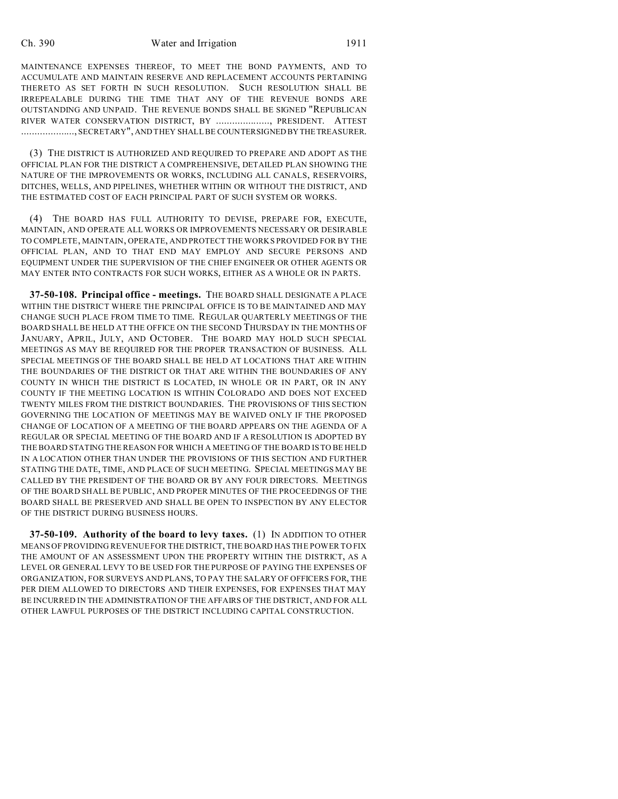MAINTENANCE EXPENSES THEREOF, TO MEET THE BOND PAYMENTS, AND TO ACCUMULATE AND MAINTAIN RESERVE AND REPLACEMENT ACCOUNTS PERTAINING THERETO AS SET FORTH IN SUCH RESOLUTION. SUCH RESOLUTION SHALL BE IRREPEALABLE DURING THE TIME THAT ANY OF THE REVENUE BONDS ARE OUTSTANDING AND UNPAID. THE REVENUE BONDS SHALL BE SIGNED "REPUBLICAN RIVER WATER CONSERVATION DISTRICT, BY ...................., PRESIDENT. ATTEST ...................., SECRETARY", AND THEY SHALL BE COUNTERSIGNED BY THETREASURER.

(3) THE DISTRICT IS AUTHORIZED AND REQUIRED TO PREPARE AND ADOPT AS THE OFFICIAL PLAN FOR THE DISTRICT A COMPREHENSIVE, DETAILED PLAN SHOWING THE NATURE OF THE IMPROVEMENTS OR WORKS, INCLUDING ALL CANALS, RESERVOIRS, DITCHES, WELLS, AND PIPELINES, WHETHER WITHIN OR WITHOUT THE DISTRICT, AND THE ESTIMATED COST OF EACH PRINCIPAL PART OF SUCH SYSTEM OR WORKS.

(4) THE BOARD HAS FULL AUTHORITY TO DEVISE, PREPARE FOR, EXECUTE, MAINTAIN, AND OPERATE ALL WORKS OR IMPROVEMENTS NECESSARY OR DESIRABLE TO COMPLETE, MAINTAIN, OPERATE, AND PROTECT THE WORKS PROVIDED FOR BY THE OFFICIAL PLAN, AND TO THAT END MAY EMPLOY AND SECURE PERSONS AND EQUIPMENT UNDER THE SUPERVISION OF THE CHIEF ENGINEER OR OTHER AGENTS OR MAY ENTER INTO CONTRACTS FOR SUCH WORKS, EITHER AS A WHOLE OR IN PARTS.

**37-50-108. Principal office - meetings.** THE BOARD SHALL DESIGNATE A PLACE WITHIN THE DISTRICT WHERE THE PRINCIPAL OFFICE IS TO BE MAINTAINED AND MAY CHANGE SUCH PLACE FROM TIME TO TIME. REGULAR QUARTERLY MEETINGS OF THE BOARD SHALL BE HELD AT THE OFFICE ON THE SECOND THURSDAY IN THE MONTHS OF JANUARY, APRIL, JULY, AND OCTOBER. THE BOARD MAY HOLD SUCH SPECIAL MEETINGS AS MAY BE REQUIRED FOR THE PROPER TRANSACTION OF BUSINESS. ALL SPECIAL MEETINGS OF THE BOARD SHALL BE HELD AT LOCATIONS THAT ARE WITHIN THE BOUNDARIES OF THE DISTRICT OR THAT ARE WITHIN THE BOUNDARIES OF ANY COUNTY IN WHICH THE DISTRICT IS LOCATED, IN WHOLE OR IN PART, OR IN ANY COUNTY IF THE MEETING LOCATION IS WITHIN COLORADO AND DOES NOT EXCEED TWENTY MILES FROM THE DISTRICT BOUNDARIES. THE PROVISIONS OF THIS SECTION GOVERNING THE LOCATION OF MEETINGS MAY BE WAIVED ONLY IF THE PROPOSED CHANGE OF LOCATION OF A MEETING OF THE BOARD APPEARS ON THE AGENDA OF A REGULAR OR SPECIAL MEETING OF THE BOARD AND IF A RESOLUTION IS ADOPTED BY THE BOARD STATING THE REASON FOR WHICH A MEETING OF THE BOARD IS TO BE HELD IN A LOCATION OTHER THAN UNDER THE PROVISIONS OF THIS SECTION AND FURTHER STATING THE DATE, TIME, AND PLACE OF SUCH MEETING. SPECIAL MEETINGS MAY BE CALLED BY THE PRESIDENT OF THE BOARD OR BY ANY FOUR DIRECTORS. MEETINGS OF THE BOARD SHALL BE PUBLIC, AND PROPER MINUTES OF THE PROCEEDINGS OF THE BOARD SHALL BE PRESERVED AND SHALL BE OPEN TO INSPECTION BY ANY ELECTOR OF THE DISTRICT DURING BUSINESS HOURS.

**37-50-109. Authority of the board to levy taxes.** (1) IN ADDITION TO OTHER MEANS OF PROVIDING REVENUE FOR THE DISTRICT, THE BOARD HAS THE POWER TO FIX THE AMOUNT OF AN ASSESSMENT UPON THE PROPERTY WITHIN THE DISTRICT, AS A LEVEL OR GENERAL LEVY TO BE USED FOR THE PURPOSE OF PAYING THE EXPENSES OF ORGANIZATION, FOR SURVEYS AND PLANS, TO PAY THE SALARY OF OFFICERS FOR, THE PER DIEM ALLOWED TO DIRECTORS AND THEIR EXPENSES, FOR EXPENSES THAT MAY BE INCURRED IN THE ADMINISTRATION OF THE AFFAIRS OF THE DISTRICT, AND FOR ALL OTHER LAWFUL PURPOSES OF THE DISTRICT INCLUDING CAPITAL CONSTRUCTION.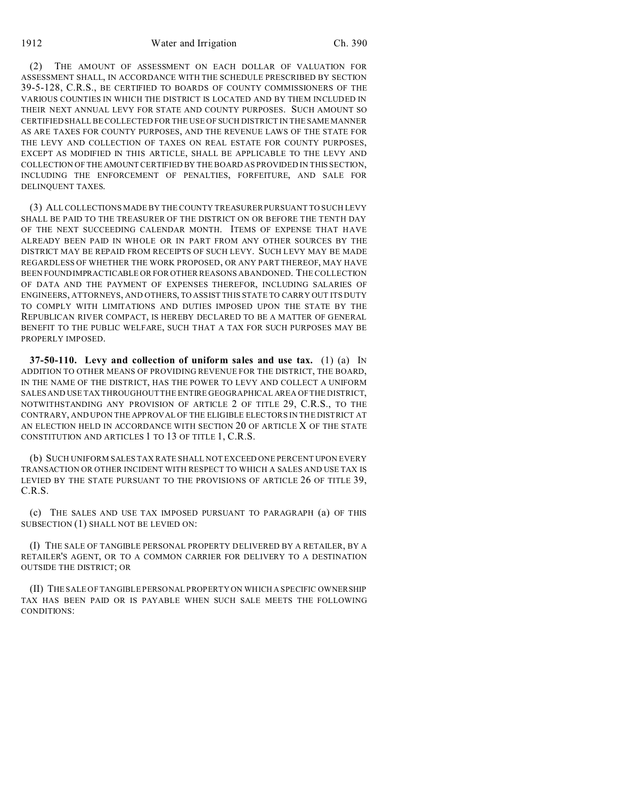1912 Water and Irrigation Ch. 390

(2) THE AMOUNT OF ASSESSMENT ON EACH DOLLAR OF VALUATION FOR ASSESSMENT SHALL, IN ACCORDANCE WITH THE SCHEDULE PRESCRIBED BY SECTION 39-5-128, C.R.S., BE CERTIFIED TO BOARDS OF COUNTY COMMISSIONERS OF THE VARIOUS COUNTIES IN WHICH THE DISTRICT IS LOCATED AND BY THEM INCLUDED IN THEIR NEXT ANNUAL LEVY FOR STATE AND COUNTY PURPOSES. SUCH AMOUNT SO CERTIFIED SHALL BE COLLECTED FOR THE USE OF SUCH DISTRICT IN THE SAME MANNER AS ARE TAXES FOR COUNTY PURPOSES, AND THE REVENUE LAWS OF THE STATE FOR THE LEVY AND COLLECTION OF TAXES ON REAL ESTATE FOR COUNTY PURPOSES, EXCEPT AS MODIFIED IN THIS ARTICLE, SHALL BE APPLICABLE TO THE LEVY AND COLLECTION OF THE AMOUNT CERTIFIED BY THE BOARD AS PROVIDED IN THIS SECTION, INCLUDING THE ENFORCEMENT OF PENALTIES, FORFEITURE, AND SALE FOR DELINQUENT TAXES.

(3) ALL COLLECTIONS MADE BY THE COUNTY TREASURER PURSUANT TO SUCH LEVY SHALL BE PAID TO THE TREASURER OF THE DISTRICT ON OR BEFORE THE TENTH DAY OF THE NEXT SUCCEEDING CALENDAR MONTH. ITEMS OF EXPENSE THAT HAVE ALREADY BEEN PAID IN WHOLE OR IN PART FROM ANY OTHER SOURCES BY THE DISTRICT MAY BE REPAID FROM RECEIPTS OF SUCH LEVY. SUCH LEVY MAY BE MADE REGARDLESS OF WHETHER THE WORK PROPOSED, OR ANY PART THEREOF, MAY HAVE BEEN FOUNDIMPRACTICABLE OR FOR OTHER REASONS ABANDONED. THE COLLECTION OF DATA AND THE PAYMENT OF EXPENSES THEREFOR, INCLUDING SALARIES OF ENGINEERS, ATTORNEYS, AND OTHERS, TO ASSIST THIS STATE TO CARRY OUT ITS DUTY TO COMPLY WITH LIMITATIONS AND DUTIES IMPOSED UPON THE STATE BY THE REPUBLICAN RIVER COMPACT, IS HEREBY DECLARED TO BE A MATTER OF GENERAL BENEFIT TO THE PUBLIC WELFARE, SUCH THAT A TAX FOR SUCH PURPOSES MAY BE PROPERLY IMPOSED.

**37-50-110. Levy and collection of uniform sales and use tax.** (1) (a) IN ADDITION TO OTHER MEANS OF PROVIDING REVENUE FOR THE DISTRICT, THE BOARD, IN THE NAME OF THE DISTRICT, HAS THE POWER TO LEVY AND COLLECT A UNIFORM SALES AND USE TAX THROUGHOUT THE ENTIRE GEOGRAPHICAL AREA OF THE DISTRICT, NOTWITHSTANDING ANY PROVISION OF ARTICLE 2 OF TITLE 29, C.R.S., TO THE CONTRARY, AND UPON THE APPROVAL OF THE ELIGIBLE ELECTORS IN THE DISTRICT AT AN ELECTION HELD IN ACCORDANCE WITH SECTION 20 OF ARTICLE X OF THE STATE CONSTITUTION AND ARTICLES 1 TO 13 OF TITLE 1, C.R.S.

(b) SUCH UNIFORM SALES TAX RATE SHALL NOT EXCEED ONE PERCENT UPON EVERY TRANSACTION OR OTHER INCIDENT WITH RESPECT TO WHICH A SALES AND USE TAX IS LEVIED BY THE STATE PURSUANT TO THE PROVISIONS OF ARTICLE 26 OF TITLE 39, C.R.S.

(c) THE SALES AND USE TAX IMPOSED PURSUANT TO PARAGRAPH (a) OF THIS SUBSECTION (1) SHALL NOT BE LEVIED ON:

(I) THE SALE OF TANGIBLE PERSONAL PROPERTY DELIVERED BY A RETAILER, BY A RETAILER'S AGENT, OR TO A COMMON CARRIER FOR DELIVERY TO A DESTINATION OUTSIDE THE DISTRICT; OR

(II) THE SALE OF TANGIBLE PERSONAL PROPERTY ON WHICH A SPECIFIC OWNERSHIP TAX HAS BEEN PAID OR IS PAYABLE WHEN SUCH SALE MEETS THE FOLLOWING CONDITIONS: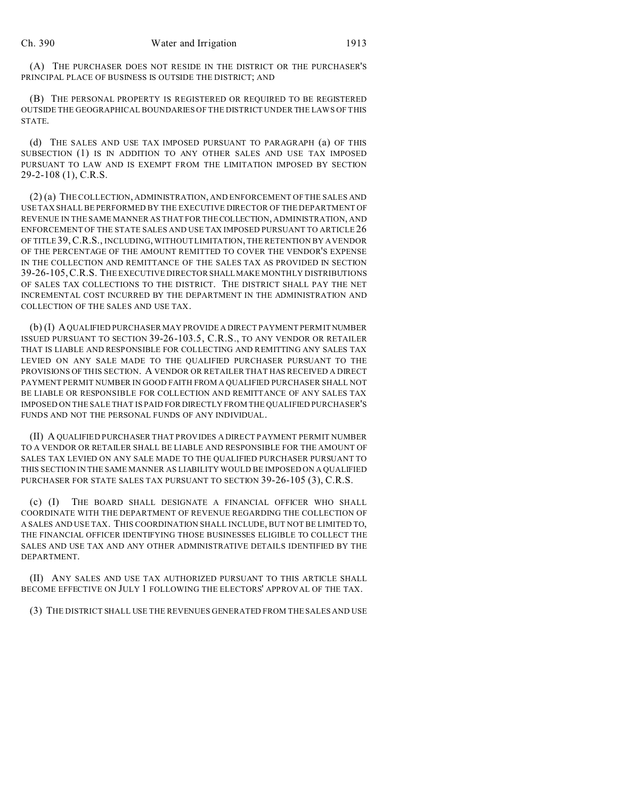(A) THE PURCHASER DOES NOT RESIDE IN THE DISTRICT OR THE PURCHASER'S PRINCIPAL PLACE OF BUSINESS IS OUTSIDE THE DISTRICT; AND

(B) THE PERSONAL PROPERTY IS REGISTERED OR REQUIRED TO BE REGISTERED OUTSIDE THE GEOGRAPHICAL BOUNDARIES OF THE DISTRICT UNDER THE LAWS OF THIS STATE.

(d) THE SALES AND USE TAX IMPOSED PURSUANT TO PARAGRAPH (a) OF THIS SUBSECTION (1) IS IN ADDITION TO ANY OTHER SALES AND USE TAX IMPOSED PURSUANT TO LAW AND IS EXEMPT FROM THE LIMITATION IMPOSED BY SECTION 29-2-108 (1), C.R.S.

(2) (a) THE COLLECTION, ADMINISTRATION, AND ENFORCEMENT OF THE SALES AND USE TAX SHALL BE PERFORMED BY THE EXECUTIVE DIRECTOR OF THE DEPARTMENT OF REVENUE IN THE SAME MANNER AS THAT FOR THECOLLECTION, ADMINISTRATION, AND ENFORCEMENT OF THE STATE SALES AND USE TAX IMPOSED PURSUANT TO ARTICLE 26 OF TITLE 39,C.R.S., INCLUDING, WITHOUT LIMITATION, THE RETENTION BY A VENDOR OF THE PERCENTAGE OF THE AMOUNT REMITTED TO COVER THE VENDOR'S EXPENSE IN THE COLLECTION AND REMITTANCE OF THE SALES TAX AS PROVIDED IN SECTION 39-26-105,C.R.S. THE EXECUTIVE DIRECTOR SHALLMAKE MONTHLY DISTRIBUTIONS OF SALES TAX COLLECTIONS TO THE DISTRICT. THE DISTRICT SHALL PAY THE NET INCREMENTAL COST INCURRED BY THE DEPARTMENT IN THE ADMINISTRATION AND COLLECTION OF THE SALES AND USE TAX.

(b) (I) A QUALIFIED PURCHASER MAY PROVIDE A DIRECT PAYMENT PERMIT NUMBER ISSUED PURSUANT TO SECTION 39-26-103.5, C.R.S., TO ANY VENDOR OR RETAILER THAT IS LIABLE AND RESPONSIBLE FOR COLLECTING AND REMITTING ANY SALES TAX LEVIED ON ANY SALE MADE TO THE QUALIFIED PURCHASER PURSUANT TO THE PROVISIONS OF THIS SECTION. A VENDOR OR RETAILER THAT HAS RECEIVED A DIRECT PAYMENT PERMIT NUMBER IN GOOD FAITH FROM A QUALIFIED PURCHASER SHALL NOT BE LIABLE OR RESPONSIBLE FOR COLLECTION AND REMITTANCE OF ANY SALES TAX IMPOSED ON THE SALE THAT IS PAID FOR DIRECTLY FROM THE QUALIFIED PURCHASER'S FUNDS AND NOT THE PERSONAL FUNDS OF ANY INDIVIDUAL.

(II) A QUALIFIED PURCHASER THAT PROVIDES A DIRECT PAYMENT PERMIT NUMBER TO A VENDOR OR RETAILER SHALL BE LIABLE AND RESPONSIBLE FOR THE AMOUNT OF SALES TAX LEVIED ON ANY SALE MADE TO THE QUALIFIED PURCHASER PURSUANT TO THIS SECTION IN THE SAME MANNER AS LIABILITY WOULD BE IMPOSED ON A QUALIFIED PURCHASER FOR STATE SALES TAX PURSUANT TO SECTION 39-26-105 (3), C.R.S.

(c) (I) THE BOARD SHALL DESIGNATE A FINANCIAL OFFICER WHO SHALL COORDINATE WITH THE DEPARTMENT OF REVENUE REGARDING THE COLLECTION OF A SALES AND USE TAX. THIS COORDINATION SHALL INCLUDE, BUT NOT BE LIMITED TO, THE FINANCIAL OFFICER IDENTIFYING THOSE BUSINESSES ELIGIBLE TO COLLECT THE SALES AND USE TAX AND ANY OTHER ADMINISTRATIVE DETAILS IDENTIFIED BY THE DEPARTMENT.

(II) ANY SALES AND USE TAX AUTHORIZED PURSUANT TO THIS ARTICLE SHALL BECOME EFFECTIVE ON JULY 1 FOLLOWING THE ELECTORS' APPROVAL OF THE TAX.

(3) THE DISTRICT SHALL USE THE REVENUES GENERATED FROM THE SALES AND USE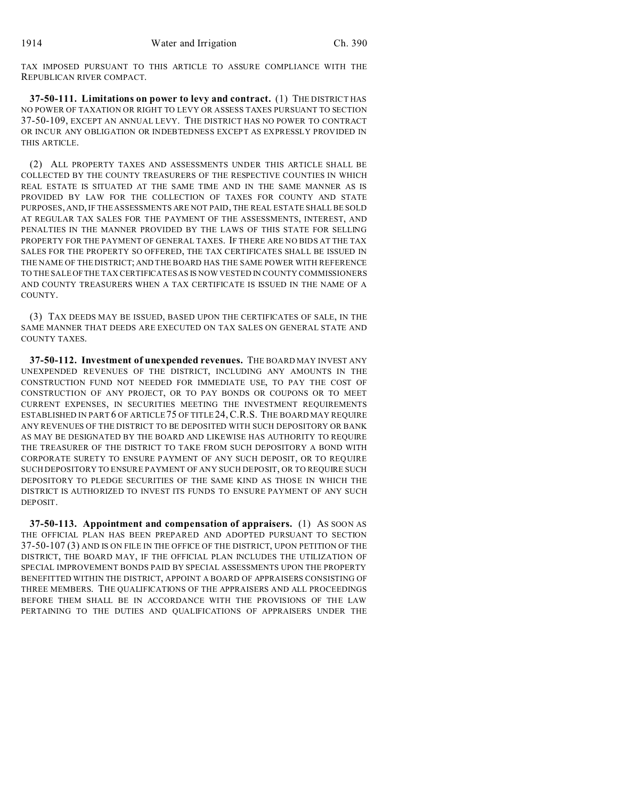TAX IMPOSED PURSUANT TO THIS ARTICLE TO ASSURE COMPLIANCE WITH THE REPUBLICAN RIVER COMPACT.

**37-50-111. Limitations on power to levy and contract.** (1) THE DISTRICT HAS NO POWER OF TAXATION OR RIGHT TO LEVY OR ASSESS TAXES PURSUANT TO SECTION 37-50-109, EXCEPT AN ANNUAL LEVY. THE DISTRICT HAS NO POWER TO CONTRACT OR INCUR ANY OBLIGATION OR INDEBTEDNESS EXCEPT AS EXPRESSLY PROVIDED IN THIS ARTICLE.

(2) ALL PROPERTY TAXES AND ASSESSMENTS UNDER THIS ARTICLE SHALL BE COLLECTED BY THE COUNTY TREASURERS OF THE RESPECTIVE COUNTIES IN WHICH REAL ESTATE IS SITUATED AT THE SAME TIME AND IN THE SAME MANNER AS IS PROVIDED BY LAW FOR THE COLLECTION OF TAXES FOR COUNTY AND STATE PURPOSES, AND, IF THE ASSESSMENTS ARE NOT PAID, THE REAL ESTATE SHALL BE SOLD AT REGULAR TAX SALES FOR THE PAYMENT OF THE ASSESSMENTS, INTEREST, AND PENALTIES IN THE MANNER PROVIDED BY THE LAWS OF THIS STATE FOR SELLING PROPERTY FOR THE PAYMENT OF GENERAL TAXES. IF THERE ARE NO BIDS AT THE TAX SALES FOR THE PROPERTY SO OFFERED, THE TAX CERTIFICATES SHALL BE ISSUED IN THE NAME OF THE DISTRICT; AND THE BOARD HAS THE SAME POWER WITH REFERENCE TO THE SALE OFTHE TAX CERTIFICATES AS IS NOW VESTED IN COUNTY COMMISSIONERS AND COUNTY TREASURERS WHEN A TAX CERTIFICATE IS ISSUED IN THE NAME OF A COUNTY.

(3) TAX DEEDS MAY BE ISSUED, BASED UPON THE CERTIFICATES OF SALE, IN THE SAME MANNER THAT DEEDS ARE EXECUTED ON TAX SALES ON GENERAL STATE AND COUNTY TAXES.

**37-50-112. Investment of unexpended revenues.** THE BOARD MAY INVEST ANY UNEXPENDED REVENUES OF THE DISTRICT, INCLUDING ANY AMOUNTS IN THE CONSTRUCTION FUND NOT NEEDED FOR IMMEDIATE USE, TO PAY THE COST OF CONSTRUCTION OF ANY PROJECT, OR TO PAY BONDS OR COUPONS OR TO MEET CURRENT EXPENSES, IN SECURITIES MEETING THE INVESTMENT REQUIREMENTS ESTABLISHED IN PART 6 OF ARTICLE 75 OF TITLE 24,C.R.S. THE BOARD MAY REQUIRE ANY REVENUES OF THE DISTRICT TO BE DEPOSITED WITH SUCH DEPOSITORY OR BANK AS MAY BE DESIGNATED BY THE BOARD AND LIKEWISE HAS AUTHORITY TO REQUIRE THE TREASURER OF THE DISTRICT TO TAKE FROM SUCH DEPOSITORY A BOND WITH CORPORATE SURETY TO ENSURE PAYMENT OF ANY SUCH DEPOSIT, OR TO REQUIRE SUCH DEPOSITORY TO ENSURE PAYMENT OF ANY SUCH DEPOSIT, OR TO REQUIRE SUCH DEPOSITORY TO PLEDGE SECURITIES OF THE SAME KIND AS THOSE IN WHICH THE DISTRICT IS AUTHORIZED TO INVEST ITS FUNDS TO ENSURE PAYMENT OF ANY SUCH DEPOSIT.

**37-50-113. Appointment and compensation of appraisers.** (1) AS SOON AS THE OFFICIAL PLAN HAS BEEN PREPARED AND ADOPTED PURSUANT TO SECTION 37-50-107 (3) AND IS ON FILE IN THE OFFICE OF THE DISTRICT, UPON PETITION OF THE DISTRICT, THE BOARD MAY, IF THE OFFICIAL PLAN INCLUDES THE UTILIZATION OF SPECIAL IMPROVEMENT BONDS PAID BY SPECIAL ASSESSMENTS UPON THE PROPERTY BENEFITTED WITHIN THE DISTRICT, APPOINT A BOARD OF APPRAISERS CONSISTING OF THREE MEMBERS. THE QUALIFICATIONS OF THE APPRAISERS AND ALL PROCEEDINGS BEFORE THEM SHALL BE IN ACCORDANCE WITH THE PROVISIONS OF THE LAW PERTAINING TO THE DUTIES AND QUALIFICATIONS OF APPRAISERS UNDER THE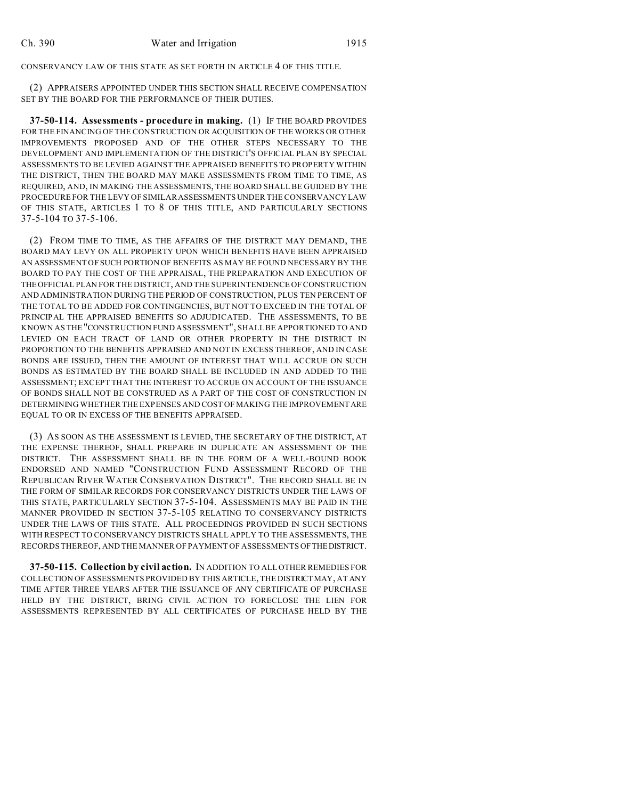CONSERVANCY LAW OF THIS STATE AS SET FORTH IN ARTICLE 4 OF THIS TITLE.

(2) APPRAISERS APPOINTED UNDER THIS SECTION SHALL RECEIVE COMPENSATION SET BY THE BOARD FOR THE PERFORMANCE OF THEIR DUTIES.

**37-50-114. Assessments - procedure in making.** (1) IF THE BOARD PROVIDES FOR THE FINANCING OF THE CONSTRUCTION OR ACQUISITION OF THE WORKS OR OTHER IMPROVEMENTS PROPOSED AND OF THE OTHER STEPS NECESSARY TO THE DEVELOPMENT AND IMPLEMENTATION OF THE DISTRICT'S OFFICIAL PLAN BY SPECIAL ASSESSMENTS TO BE LEVIED AGAINST THE APPRAISED BENEFITS TO PROPERTY WITHIN THE DISTRICT, THEN THE BOARD MAY MAKE ASSESSMENTS FROM TIME TO TIME, AS REQUIRED, AND, IN MAKING THE ASSESSMENTS, THE BOARD SHALL BE GUIDED BY THE PROCEDURE FOR THE LEVY OF SIMILAR ASSESSMENTS UNDER THE CONSERVANCY LAW OF THIS STATE, ARTICLES 1 TO 8 OF THIS TITLE, AND PARTICULARLY SECTIONS 37-5-104 TO 37-5-106.

(2) FROM TIME TO TIME, AS THE AFFAIRS OF THE DISTRICT MAY DEMAND, THE BOARD MAY LEVY ON ALL PROPERTY UPON WHICH BENEFITS HAVE BEEN APPRAISED AN ASSESSMENT OF SUCH PORTION OF BENEFITS AS MAY BE FOUND NECESSARY BY THE BOARD TO PAY THE COST OF THE APPRAISAL, THE PREPARATION AND EXECUTION OF THEOFFICIAL PLAN FOR THE DISTRICT, AND THE SUPERINTENDENCE OF CONSTRUCTION AND ADMINISTRATION DURING THE PERIOD OF CONSTRUCTION, PLUS TEN PERCENT OF THE TOTAL TO BE ADDED FOR CONTINGENCIES, BUT NOT TO EXCEED IN THE TOTAL OF PRINCIPAL THE APPRAISED BENEFITS SO ADJUDICATED. THE ASSESSMENTS, TO BE KNOWN AS THE "CONSTRUCTION FUND ASSESSMENT", SHALL BE APPORTIONED TO AND LEVIED ON EACH TRACT OF LAND OR OTHER PROPERTY IN THE DISTRICT IN PROPORTION TO THE BENEFITS APPRAISED AND NOT IN EXCESS THEREOF, AND IN CASE BONDS ARE ISSUED, THEN THE AMOUNT OF INTEREST THAT WILL ACCRUE ON SUCH BONDS AS ESTIMATED BY THE BOARD SHALL BE INCLUDED IN AND ADDED TO THE ASSESSMENT; EXCEPT THAT THE INTEREST TO ACCRUE ON ACCOUNT OF THE ISSUANCE OF BONDS SHALL NOT BE CONSTRUED AS A PART OF THE COST OF CONSTRUCTION IN DETERMINING WHETHER THE EXPENSES AND COST OF MAKING THE IMPROVEMENTARE EQUAL TO OR IN EXCESS OF THE BENEFITS APPRAISED.

(3) AS SOON AS THE ASSESSMENT IS LEVIED, THE SECRETARY OF THE DISTRICT, AT THE EXPENSE THEREOF, SHALL PREPARE IN DUPLICATE AN ASSESSMENT OF THE DISTRICT. THE ASSESSMENT SHALL BE IN THE FORM OF A WELL-BOUND BOOK ENDORSED AND NAMED "CONSTRUCTION FUND ASSESSMENT RECORD OF THE REPUBLICAN RIVER WATER CONSERVATION DISTRICT". THE RECORD SHALL BE IN THE FORM OF SIMILAR RECORDS FOR CONSERVANCY DISTRICTS UNDER THE LAWS OF THIS STATE, PARTICULARLY SECTION 37-5-104. ASSESSMENTS MAY BE PAID IN THE MANNER PROVIDED IN SECTION 37-5-105 RELATING TO CONSERVANCY DISTRICTS UNDER THE LAWS OF THIS STATE. ALL PROCEEDINGS PROVIDED IN SUCH SECTIONS WITH RESPECT TO CONSERVANCY DISTRICTS SHALL APPLY TO THE ASSESSMENTS, THE RECORDS THEREOF, AND THE MANNER OF PAYMENT OF ASSESSMENTS OFTHEDISTRICT.

**37-50-115. Collection by civil action.** IN ADDITION TO ALL OTHER REMEDIES FOR COLLECTION OF ASSESSMENTS PROVIDED BY THIS ARTICLE, THE DISTRICTMAY, AT ANY TIME AFTER THREE YEARS AFTER THE ISSUANCE OF ANY CERTIFICATE OF PURCHASE HELD BY THE DISTRICT, BRING CIVIL ACTION TO FORECLOSE THE LIEN FOR ASSESSMENTS REPRESENTED BY ALL CERTIFICATES OF PURCHASE HELD BY THE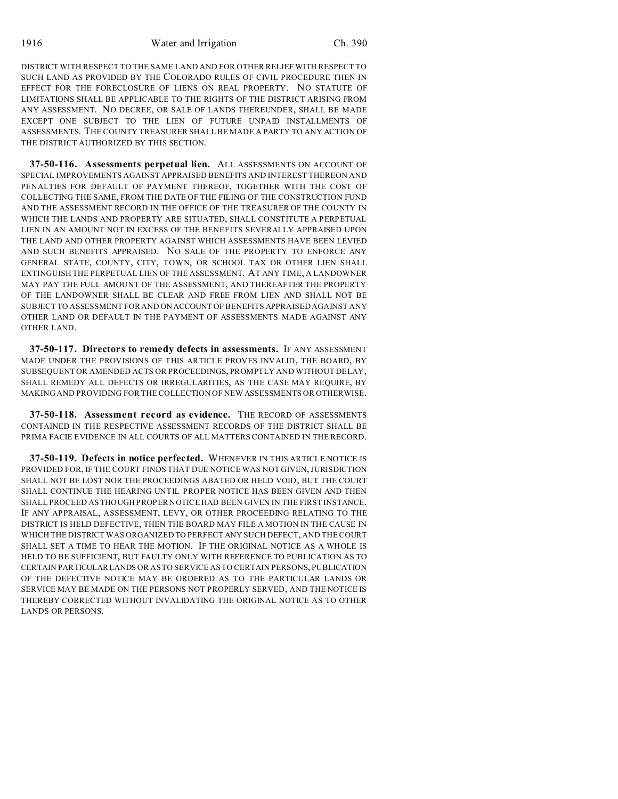DISTRICT WITH RESPECT TO THE SAME LAND AND FOR OTHER RELIEF WITH RESPECT TO SUCH LAND AS PROVIDED BY THE COLORADO RULES OF CIVIL PROCEDURE THEN IN EFFECT FOR THE FORECLOSURE OF LIENS ON REAL PROPERTY. NO STATUTE OF LIMITATIONS SHALL BE APPLICABLE TO THE RIGHTS OF THE DISTRICT ARISING FROM ANY ASSESSMENT. NO DECREE, OR SALE OF LANDS THEREUNDER, SHALL BE MADE EXCEPT ONE SUBJECT TO THE LIEN OF FUTURE UNPAID INSTALLMENTS OF ASSESSMENTS. THE COUNTY TREASURER SHALL BE MADE A PARTY TO ANY ACTION OF THE DISTRICT AUTHORIZED BY THIS SECTION.

**37-50-116. Assessments perpetual lien.** ALL ASSESSMENTS ON ACCOUNT OF SPECIAL IMPROVEMENTS AGAINST APPRAISED BENEFITS AND INTEREST THEREON AND PENALTIES FOR DEFAULT OF PAYMENT THEREOF, TOGETHER WITH THE COST OF COLLECTING THE SAME, FROM THE DATE OF THE FILING OF THE CONSTRUCTION FUND AND THE ASSESSMENT RECORD IN THE OFFICE OF THE TREASURER OF THE COUNTY IN WHICH THE LANDS AND PROPERTY ARE SITUATED, SHALL CONSTITUTE A PERPETUAL LIEN IN AN AMOUNT NOT IN EXCESS OF THE BENEFITS SEVERALLY APPRAISED UPON THE LAND AND OTHER PROPERTY AGAINST WHICH ASSESSMENTS HAVE BEEN LEVIED AND SUCH BENEFITS APPRAISED. NO SALE OF THE PROPERTY TO ENFORCE ANY GENERAL STATE, COUNTY, CITY, TOWN, OR SCHOOL TAX OR OTHER LIEN SHALL EXTINGUISH THE PERPETUAL LIEN OF THE ASSESSMENT. AT ANY TIME, A LANDOWNER MAY PAY THE FULL AMOUNT OF THE ASSESSMENT, AND THEREAFTER THE PROPERTY OF THE LANDOWNER SHALL BE CLEAR AND FREE FROM LIEN AND SHALL NOT BE SUBJECT TO ASSESSMENT FOR AND ON ACCOUNT OF BENEFITS APPRAISED AGAINST ANY OTHER LAND OR DEFAULT IN THE PAYMENT OF ASSESSMENTS MADE AGAINST ANY OTHER LAND.

**37-50-117. Directors to remedy defects in assessments.** IF ANY ASSESSMENT MADE UNDER THE PROVISIONS OF THIS ARTICLE PROVES INVALID, THE BOARD, BY SUBSEQUENT OR AMENDED ACTS OR PROCEEDINGS, PROMPTLY AND WITHOUT DELAY, SHALL REMEDY ALL DEFECTS OR IRREGULARITIES, AS THE CASE MAY REQUIRE, BY MAKING AND PROVIDING FOR THE COLLECTION OF NEW ASSESSMENTS OR OTHERWISE.

**37-50-118. Assessment record as evidence.** THE RECORD OF ASSESSMENTS CONTAINED IN THE RESPECTIVE ASSESSMENT RECORDS OF THE DISTRICT SHALL BE PRIMA FACIE EVIDENCE IN ALL COURTS OF ALL MATTERS CONTAINED IN THE RECORD.

**37-50-119. Defects in notice perfected.** WHENEVER IN THIS ARTICLE NOTICE IS PROVIDED FOR, IF THE COURT FINDS THAT DUE NOTICE WAS NOT GIVEN, JURISDICTION SHALL NOT BE LOST NOR THE PROCEEDINGS ABATED OR HELD VOID, BUT THE COURT SHALL CONTINUE THE HEARING UNTIL PROPER NOTICE HAS BEEN GIVEN AND THEN SHALL PROCEED AS THOUGH PROPER NOTICE HAD BEEN GIVEN IN THE FIRST INSTANCE. IF ANY APPRAISAL, ASSESSMENT, LEVY, OR OTHER PROCEEDING RELATING TO THE DISTRICT IS HELD DEFECTIVE, THEN THE BOARD MAY FILE A MOTION IN THE CAUSE IN WHICH THE DISTRICT WAS ORGANIZED TO PERFECT ANY SUCH DEFECT, AND THE COURT SHALL SET A TIME TO HEAR THE MOTION. IF THE ORIGINAL NOTICE AS A WHOLE IS HELD TO BE SUFFICIENT, BUT FAULTY ONLY WITH REFERENCE TO PUBLICATION AS TO CERTAIN PARTICULARLANDS OR AS TO SERVICE AS TO CERTAIN PERSONS, PUBLICATION OF THE DEFECTIVE NOTICE MAY BE ORDERED AS TO THE PARTICULAR LANDS OR SERVICE MAY BE MADE ON THE PERSONS NOT PROPERLY SERVED, AND THE NOTICE IS THEREBY CORRECTED WITHOUT INVALIDATING THE ORIGINAL NOTICE AS TO OTHER LANDS OR PERSONS.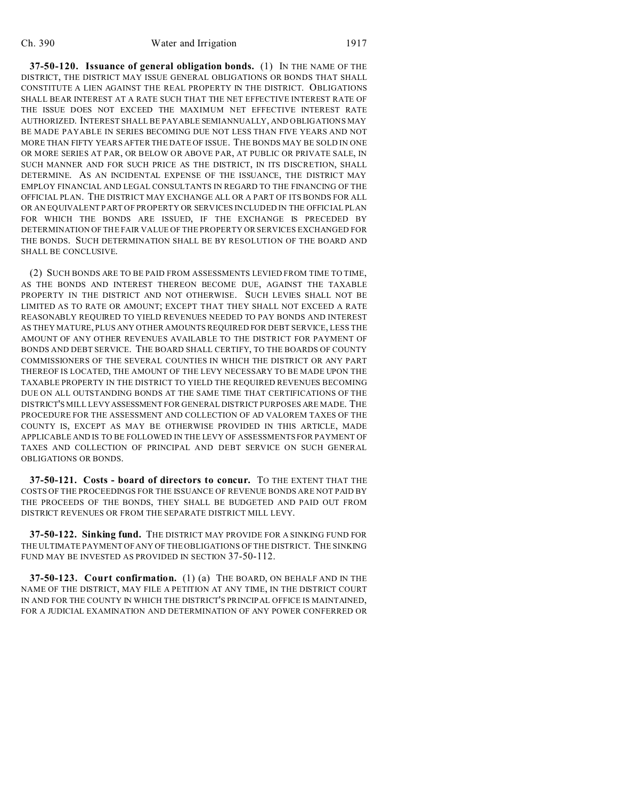**37-50-120. Issuance of general obligation bonds.** (1) IN THE NAME OF THE DISTRICT, THE DISTRICT MAY ISSUE GENERAL OBLIGATIONS OR BONDS THAT SHALL CONSTITUTE A LIEN AGAINST THE REAL PROPERTY IN THE DISTRICT. OBLIGATIONS SHALL BEAR INTEREST AT A RATE SUCH THAT THE NET EFFECTIVE INTEREST RATE OF THE ISSUE DOES NOT EXCEED THE MAXIMUM NET EFFECTIVE INTEREST RATE AUTHORIZED. INTEREST SHALL BE PAYABLE SEMIANNUALLY, AND OBLIGATIONS MAY BE MADE PAYABLE IN SERIES BECOMING DUE NOT LESS THAN FIVE YEARS AND NOT MORE THAN FIFTY YEARS AFTER THE DATE OF ISSUE. THE BONDS MAY BE SOLD IN ONE OR MORE SERIES AT PAR, OR BELOW OR ABOVE PAR, AT PUBLIC OR PRIVATE SALE, IN SUCH MANNER AND FOR SUCH PRICE AS THE DISTRICT, IN ITS DISCRETION, SHALL DETERMINE. AS AN INCIDENTAL EXPENSE OF THE ISSUANCE, THE DISTRICT MAY EMPLOY FINANCIAL AND LEGAL CONSULTANTS IN REGARD TO THE FINANCING OF THE OFFICIAL PLAN. THE DISTRICT MAY EXCHANGE ALL OR A PART OF ITS BONDS FOR ALL OR AN EQUIVALENT PART OF PROPERTY OR SERVICES INCLUDED IN THE OFFICIAL PLAN FOR WHICH THE BONDS ARE ISSUED, IF THE EXCHANGE IS PRECEDED BY DETERMINATION OF THE FAIR VALUE OF THE PROPERTY OR SERVICES EXCHANGED FOR THE BONDS. SUCH DETERMINATION SHALL BE BY RESOLUTION OF THE BOARD AND SHALL BE CONCLUSIVE.

(2) SUCH BONDS ARE TO BE PAID FROM ASSESSMENTS LEVIED FROM TIME TO TIME, AS THE BONDS AND INTEREST THEREON BECOME DUE, AGAINST THE TAXABLE PROPERTY IN THE DISTRICT AND NOT OTHERWISE. SUCH LEVIES SHALL NOT BE LIMITED AS TO RATE OR AMOUNT; EXCEPT THAT THEY SHALL NOT EXCEED A RATE REASONABLY REQUIRED TO YIELD REVENUES NEEDED TO PAY BONDS AND INTEREST AS THEY MATURE, PLUS ANY OTHER AMOUNTS REQUIRED FOR DEBT SERVICE, LESS THE AMOUNT OF ANY OTHER REVENUES AVAILABLE TO THE DISTRICT FOR PAYMENT OF BONDS AND DEBT SERVICE. THE BOARD SHALL CERTIFY, TO THE BOARDS OF COUNTY COMMISSIONERS OF THE SEVERAL COUNTIES IN WHICH THE DISTRICT OR ANY PART THEREOF IS LOCATED, THE AMOUNT OF THE LEVY NECESSARY TO BE MADE UPON THE TAXABLE PROPERTY IN THE DISTRICT TO YIELD THE REQUIRED REVENUES BECOMING DUE ON ALL OUTSTANDING BONDS AT THE SAME TIME THAT CERTIFICATIONS OF THE DISTRICT'S MILL LEVY ASSESSMENT FOR GENERAL DISTRICT PURPOSES ARE MADE. THE PROCEDURE FOR THE ASSESSMENT AND COLLECTION OF AD VALOREM TAXES OF THE COUNTY IS, EXCEPT AS MAY BE OTHERWISE PROVIDED IN THIS ARTICLE, MADE APPLICABLE AND IS TO BE FOLLOWED IN THE LEVY OF ASSESSMENTS FOR PAYMENT OF TAXES AND COLLECTION OF PRINCIPAL AND DEBT SERVICE ON SUCH GENERAL OBLIGATIONS OR BONDS.

**37-50-121. Costs - board of directors to concur.** TO THE EXTENT THAT THE COSTS OF THE PROCEEDINGS FOR THE ISSUANCE OF REVENUE BONDS ARE NOT PAID BY THE PROCEEDS OF THE BONDS, THEY SHALL BE BUDGETED AND PAID OUT FROM DISTRICT REVENUES OR FROM THE SEPARATE DISTRICT MILL LEVY.

**37-50-122. Sinking fund.** THE DISTRICT MAY PROVIDE FOR A SINKING FUND FOR THE ULTIMATE PAYMENT OF ANY OF THE OBLIGATIONS OF THE DISTRICT. THE SINKING FUND MAY BE INVESTED AS PROVIDED IN SECTION 37-50-112.

**37-50-123. Court confirmation.** (1) (a) THE BOARD, ON BEHALF AND IN THE NAME OF THE DISTRICT, MAY FILE A PETITION AT ANY TIME, IN THE DISTRICT COURT IN AND FOR THE COUNTY IN WHICH THE DISTRICT'S PRINCIPAL OFFICE IS MAINTAINED, FOR A JUDICIAL EXAMINATION AND DETERMINATION OF ANY POWER CONFERRED OR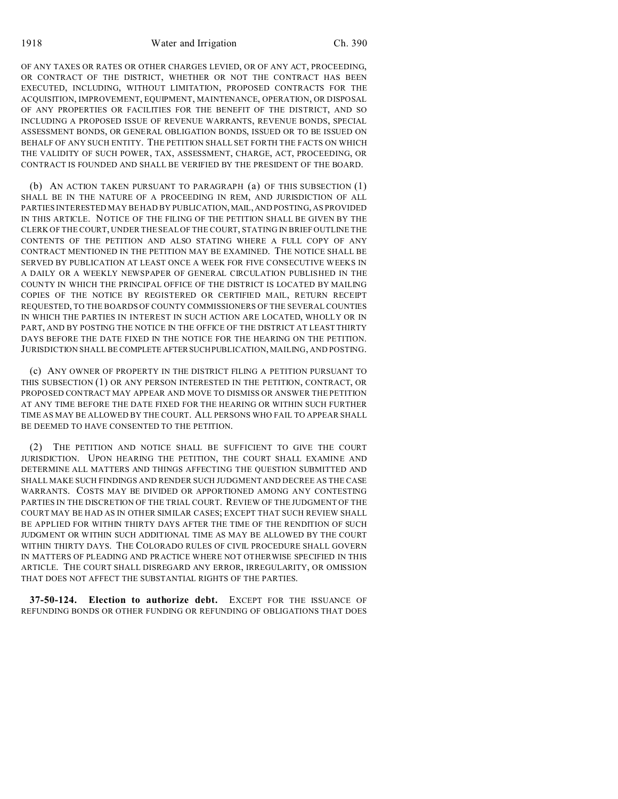1918 **Water and Irrigation** Ch. 390

OF ANY TAXES OR RATES OR OTHER CHARGES LEVIED, OR OF ANY ACT, PROCEEDING, OR CONTRACT OF THE DISTRICT, WHETHER OR NOT THE CONTRACT HAS BEEN EXECUTED, INCLUDING, WITHOUT LIMITATION, PROPOSED CONTRACTS FOR THE ACQUISITION, IMPROVEMENT, EQUIPMENT, MAINTENANCE, OPERATION, OR DISPOSAL OF ANY PROPERTIES OR FACILITIES FOR THE BENEFIT OF THE DISTRICT, AND SO INCLUDING A PROPOSED ISSUE OF REVENUE WARRANTS, REVENUE BONDS, SPECIAL ASSESSMENT BONDS, OR GENERAL OBLIGATION BONDS, ISSUED OR TO BE ISSUED ON BEHALF OF ANY SUCH ENTITY. THE PETITION SHALL SET FORTH THE FACTS ON WHICH THE VALIDITY OF SUCH POWER, TAX, ASSESSMENT, CHARGE, ACT, PROCEEDING, OR CONTRACT IS FOUNDED AND SHALL BE VERIFIED BY THE PRESIDENT OF THE BOARD.

(b) AN ACTION TAKEN PURSUANT TO PARAGRAPH (a) OF THIS SUBSECTION (1) SHALL BE IN THE NATURE OF A PROCEEDING IN REM, AND JURISDICTION OF ALL PARTIES INTERESTED MAY BE HAD BY PUBLICATION, MAIL,AND POSTING, AS PROVIDED IN THIS ARTICLE. NOTICE OF THE FILING OF THE PETITION SHALL BE GIVEN BY THE CLERK OF THE COURT, UNDER THE SEAL OF THE COURT, STATING IN BRIEF OUTLINE THE CONTENTS OF THE PETITION AND ALSO STATING WHERE A FULL COPY OF ANY CONTRACT MENTIONED IN THE PETITION MAY BE EXAMINED. THE NOTICE SHALL BE SERVED BY PUBLICATION AT LEAST ONCE A WEEK FOR FIVE CONSECUTIVE WEEKS IN A DAILY OR A WEEKLY NEWSPAPER OF GENERAL CIRCULATION PUBLISHED IN THE COUNTY IN WHICH THE PRINCIPAL OFFICE OF THE DISTRICT IS LOCATED BY MAILING COPIES OF THE NOTICE BY REGISTERED OR CERTIFIED MAIL, RETURN RECEIPT REQUESTED, TO THE BOARDS OF COUNTY COMMISSIONERS OF THE SEVERAL COUNTIES IN WHICH THE PARTIES IN INTEREST IN SUCH ACTION ARE LOCATED, WHOLLY OR IN PART, AND BY POSTING THE NOTICE IN THE OFFICE OF THE DISTRICT AT LEAST THIRTY DAYS BEFORE THE DATE FIXED IN THE NOTICE FOR THE HEARING ON THE PETITION. JURISDICTION SHALL BE COMPLETE AFTERSUCHPUBLICATION, MAILING, AND POSTING.

(c) ANY OWNER OF PROPERTY IN THE DISTRICT FILING A PETITION PURSUANT TO THIS SUBSECTION (1) OR ANY PERSON INTERESTED IN THE PETITION, CONTRACT, OR PROPOSED CONTRACT MAY APPEAR AND MOVE TO DISMISS OR ANSWER THE PETITION AT ANY TIME BEFORE THE DATE FIXED FOR THE HEARING OR WITHIN SUCH FURTHER TIME AS MAY BE ALLOWED BY THE COURT. ALL PERSONS WHO FAIL TO APPEAR SHALL BE DEEMED TO HAVE CONSENTED TO THE PETITION.

(2) THE PETITION AND NOTICE SHALL BE SUFFICIENT TO GIVE THE COURT JURISDICTION. UPON HEARING THE PETITION, THE COURT SHALL EXAMINE AND DETERMINE ALL MATTERS AND THINGS AFFECTING THE QUESTION SUBMITTED AND SHALL MAKE SUCH FINDINGS AND RENDER SUCH JUDGMENT AND DECREE AS THE CASE WARRANTS. COSTS MAY BE DIVIDED OR APPORTIONED AMONG ANY CONTESTING PARTIES IN THE DISCRETION OF THE TRIAL COURT. REVIEW OF THE JUDGMENT OF THE COURT MAY BE HAD AS IN OTHER SIMILAR CASES; EXCEPT THAT SUCH REVIEW SHALL BE APPLIED FOR WITHIN THIRTY DAYS AFTER THE TIME OF THE RENDITION OF SUCH JUDGMENT OR WITHIN SUCH ADDITIONAL TIME AS MAY BE ALLOWED BY THE COURT WITHIN THIRTY DAYS. THE COLORADO RULES OF CIVIL PROCEDURE SHALL GOVERN IN MATTERS OF PLEADING AND PRACTICE WHERE NOT OTHERWISE SPECIFIED IN THIS ARTICLE. THE COURT SHALL DISREGARD ANY ERROR, IRREGULARITY, OR OMISSION THAT DOES NOT AFFECT THE SUBSTANTIAL RIGHTS OF THE PARTIES.

**37-50-124. Election to authorize debt.** EXCEPT FOR THE ISSUANCE OF REFUNDING BONDS OR OTHER FUNDING OR REFUNDING OF OBLIGATIONS THAT DOES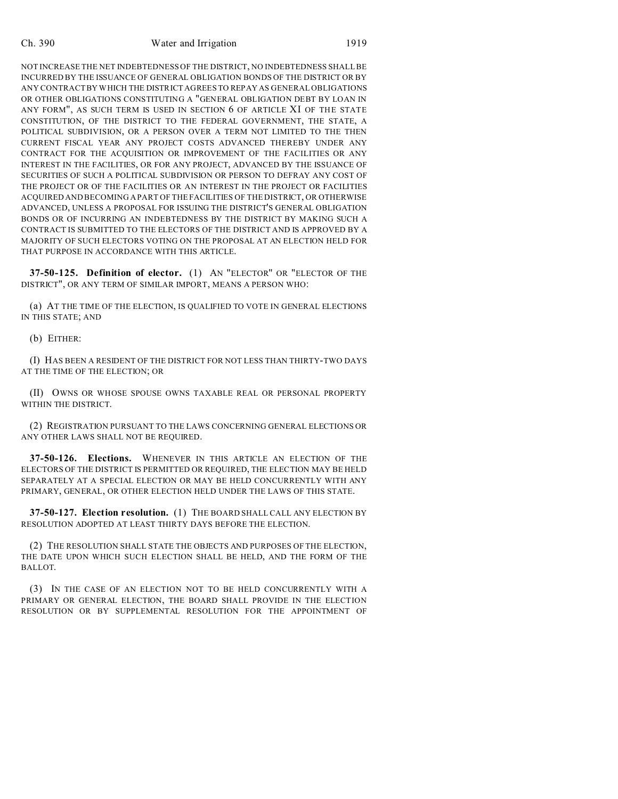NOT INCREASE THE NET INDEBTEDNESS OF THE DISTRICT, NO INDEBTEDNESS SHALL BE INCURRED BY THE ISSUANCE OF GENERAL OBLIGATION BONDS OF THE DISTRICT OR BY ANY CONTRACT BY WHICH THE DISTRICT AGREES TO REPAY AS GENERAL OBLIGATIONS OR OTHER OBLIGATIONS CONSTITUTING A "GENERAL OBLIGATION DEBT BY LOAN IN ANY FORM", AS SUCH TERM IS USED IN SECTION 6 OF ARTICLE XI OF THE STATE CONSTITUTION, OF THE DISTRICT TO THE FEDERAL GOVERNMENT, THE STATE, A POLITICAL SUBDIVISION, OR A PERSON OVER A TERM NOT LIMITED TO THE THEN CURRENT FISCAL YEAR ANY PROJECT COSTS ADVANCED THEREBY UNDER ANY CONTRACT FOR THE ACQUISITION OR IMPROVEMENT OF THE FACILITIES OR ANY INTEREST IN THE FACILITIES, OR FOR ANY PROJECT, ADVANCED BY THE ISSUANCE OF SECURITIES OF SUCH A POLITICAL SUBDIVISION OR PERSON TO DEFRAY ANY COST OF THE PROJECT OR OF THE FACILITIES OR AN INTEREST IN THE PROJECT OR FACILITIES ACQUIRED AND BECOMING A PART OF THE FACILITIES OF THE DISTRICT, OR OTHERWISE ADVANCED, UNLESS A PROPOSAL FOR ISSUING THE DISTRICT'S GENERAL OBLIGATION BONDS OR OF INCURRING AN INDEBTEDNESS BY THE DISTRICT BY MAKING SUCH A CONTRACT IS SUBMITTED TO THE ELECTORS OF THE DISTRICT AND IS APPROVED BY A MAJORITY OF SUCH ELECTORS VOTING ON THE PROPOSAL AT AN ELECTION HELD FOR THAT PURPOSE IN ACCORDANCE WITH THIS ARTICLE.

**37-50-125. Definition of elector.** (1) AN "ELECTOR" OR "ELECTOR OF THE DISTRICT", OR ANY TERM OF SIMILAR IMPORT, MEANS A PERSON WHO:

(a) AT THE TIME OF THE ELECTION, IS QUALIFIED TO VOTE IN GENERAL ELECTIONS IN THIS STATE; AND

(b) EITHER:

(I) HAS BEEN A RESIDENT OF THE DISTRICT FOR NOT LESS THAN THIRTY-TWO DAYS AT THE TIME OF THE ELECTION; OR

(II) OWNS OR WHOSE SPOUSE OWNS TAXABLE REAL OR PERSONAL PROPERTY WITHIN THE DISTRICT.

(2) REGISTRATION PURSUANT TO THE LAWS CONCERNING GENERAL ELECTIONS OR ANY OTHER LAWS SHALL NOT BE REQUIRED.

**37-50-126. Elections.** WHENEVER IN THIS ARTICLE AN ELECTION OF THE ELECTORS OF THE DISTRICT IS PERMITTED OR REQUIRED, THE ELECTION MAY BE HELD SEPARATELY AT A SPECIAL ELECTION OR MAY BE HELD CONCURRENTLY WITH ANY PRIMARY, GENERAL, OR OTHER ELECTION HELD UNDER THE LAWS OF THIS STATE.

**37-50-127. Election resolution.** (1) THE BOARD SHALL CALL ANY ELECTION BY RESOLUTION ADOPTED AT LEAST THIRTY DAYS BEFORE THE ELECTION.

(2) THE RESOLUTION SHALL STATE THE OBJECTS AND PURPOSES OF THE ELECTION, THE DATE UPON WHICH SUCH ELECTION SHALL BE HELD, AND THE FORM OF THE BALLOT.

(3) IN THE CASE OF AN ELECTION NOT TO BE HELD CONCURRENTLY WITH A PRIMARY OR GENERAL ELECTION, THE BOARD SHALL PROVIDE IN THE ELECTION RESOLUTION OR BY SUPPLEMENTAL RESOLUTION FOR THE APPOINTMENT OF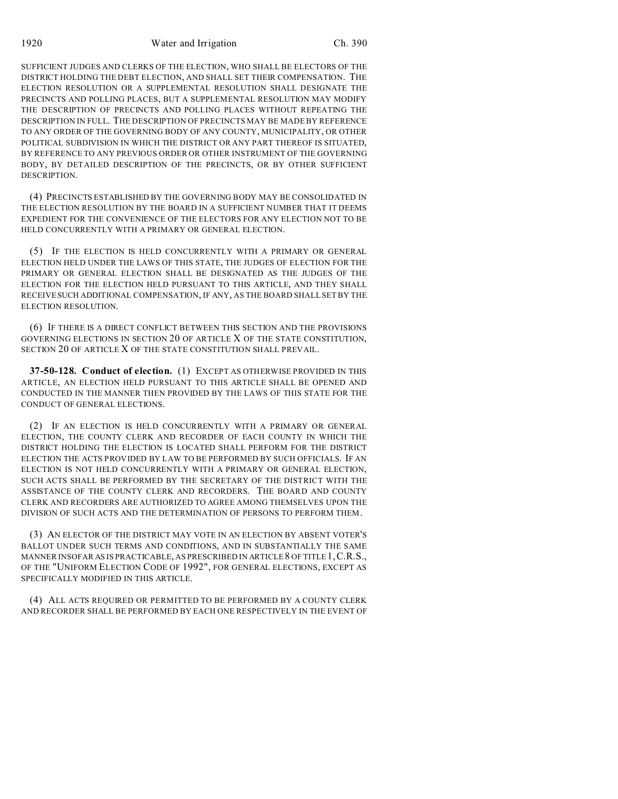1920 Water and Irrigation Ch. 390

SUFFICIENT JUDGES AND CLERKS OF THE ELECTION, WHO SHALL BE ELECTORS OF THE DISTRICT HOLDING THE DEBT ELECTION, AND SHALL SET THEIR COMPENSATION. THE ELECTION RESOLUTION OR A SUPPLEMENTAL RESOLUTION SHALL DESIGNATE THE PRECINCTS AND POLLING PLACES, BUT A SUPPLEMENTAL RESOLUTION MAY MODIFY THE DESCRIPTION OF PRECINCTS AND POLLING PLACES WITHOUT REPEATING THE DESCRIPTION IN FULL. THE DESCRIPTION OF PRECINCTS MAY BE MADE BY REFERENCE TO ANY ORDER OF THE GOVERNING BODY OF ANY COUNTY, MUNICIPALITY, OR OTHER POLITICAL SUBDIVISION IN WHICH THE DISTRICT OR ANY PART THEREOF IS SITUATED, BY REFERENCE TO ANY PREVIOUS ORDER OR OTHER INSTRUMENT OF THE GOVERNING BODY, BY DETAILED DESCRIPTION OF THE PRECINCTS, OR BY OTHER SUFFICIENT DESCRIPTION.

(4) PRECINCTS ESTABLISHED BY THE GOVERNING BODY MAY BE CONSOLIDATED IN THE ELECTION RESOLUTION BY THE BOARD IN A SUFFICIENT NUMBER THAT IT DEEMS EXPEDIENT FOR THE CONVENIENCE OF THE ELECTORS FOR ANY ELECTION NOT TO BE HELD CONCURRENTLY WITH A PRIMARY OR GENERAL ELECTION.

(5) IF THE ELECTION IS HELD CONCURRENTLY WITH A PRIMARY OR GENERAL ELECTION HELD UNDER THE LAWS OF THIS STATE, THE JUDGES OF ELECTION FOR THE PRIMARY OR GENERAL ELECTION SHALL BE DESIGNATED AS THE JUDGES OF THE ELECTION FOR THE ELECTION HELD PURSUANT TO THIS ARTICLE, AND THEY SHALL RECEIVE SUCH ADDITIONAL COMPENSATION, IF ANY, AS THE BOARD SHALL SET BY THE ELECTION RESOLUTION.

(6) IF THERE IS A DIRECT CONFLICT BETWEEN THIS SECTION AND THE PROVISIONS GOVERNING ELECTIONS IN SECTION 20 OF ARTICLE X OF THE STATE CONSTITUTION, SECTION 20 OF ARTICLE X OF THE STATE CONSTITUTION SHALL PREVAIL.

**37-50-128. Conduct of election.** (1) EXCEPT AS OTHERWISE PROVIDED IN THIS ARTICLE, AN ELECTION HELD PURSUANT TO THIS ARTICLE SHALL BE OPENED AND CONDUCTED IN THE MANNER THEN PROVIDED BY THE LAWS OF THIS STATE FOR THE CONDUCT OF GENERAL ELECTIONS.

(2) IF AN ELECTION IS HELD CONCURRENTLY WITH A PRIMARY OR GENERAL ELECTION, THE COUNTY CLERK AND RECORDER OF EACH COUNTY IN WHICH THE DISTRICT HOLDING THE ELECTION IS LOCATED SHALL PERFORM FOR THE DISTRICT ELECTION THE ACTS PROVIDED BY LAW TO BE PERFORMED BY SUCH OFFICIALS. IF AN ELECTION IS NOT HELD CONCURRENTLY WITH A PRIMARY OR GENERAL ELECTION, SUCH ACTS SHALL BE PERFORMED BY THE SECRETARY OF THE DISTRICT WITH THE ASSISTANCE OF THE COUNTY CLERK AND RECORDERS. THE BOARD AND COUNTY CLERK AND RECORDERS ARE AUTHORIZED TO AGREE AMONG THEMSELVES UPON THE DIVISION OF SUCH ACTS AND THE DETERMINATION OF PERSONS TO PERFORM THEM.

(3) AN ELECTOR OF THE DISTRICT MAY VOTE IN AN ELECTION BY ABSENT VOTER'S BALLOT UNDER SUCH TERMS AND CONDITIONS, AND IN SUBSTANTIALLY THE SAME MANNER INSOFAR AS IS PRACTICABLE, AS PRESCRIBED IN ARTICLE 8 OF TITLE 1,C.R.S., OF THE "UNIFORM ELECTION CODE OF 1992", FOR GENERAL ELECTIONS, EXCEPT AS SPECIFICALLY MODIFIED IN THIS ARTICLE.

(4) ALL ACTS REQUIRED OR PERMITTED TO BE PERFORMED BY A COUNTY CLERK AND RECORDER SHALL BE PERFORMED BY EACH ONE RESPECTIVELY IN THE EVENT OF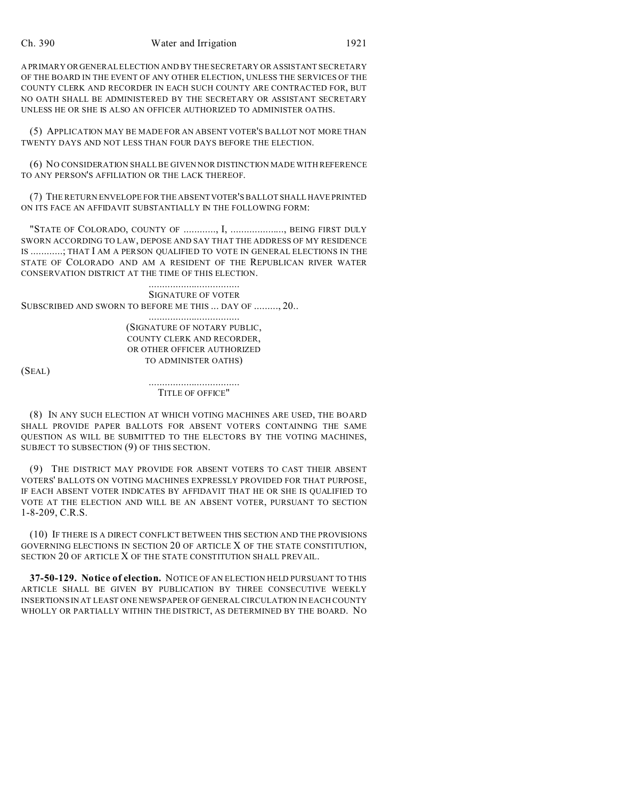A PRIMARY OR GENERAL ELECTION AND BY THE SECRETARY OR ASSISTANT SECRETARY OF THE BOARD IN THE EVENT OF ANY OTHER ELECTION, UNLESS THE SERVICES OF THE COUNTY CLERK AND RECORDER IN EACH SUCH COUNTY ARE CONTRACTED FOR, BUT NO OATH SHALL BE ADMINISTERED BY THE SECRETARY OR ASSISTANT SECRETARY UNLESS HE OR SHE IS ALSO AN OFFICER AUTHORIZED TO ADMINISTER OATHS.

(5) APPLICATION MAY BE MADE FOR AN ABSENT VOTER'S BALLOT NOT MORE THAN TWENTY DAYS AND NOT LESS THAN FOUR DAYS BEFORE THE ELECTION.

(6) NO CONSIDERATION SHALL BE GIVEN NOR DISTINCTION MADE WITH REFERENCE TO ANY PERSON'S AFFILIATION OR THE LACK THEREOF.

(7) THE RETURN ENVELOPE FOR THE ABSENTVOTER'S BALLOT SHALL HAVE PRINTED ON ITS FACE AN AFFIDAVIT SUBSTANTIALLY IN THE FOLLOWING FORM:

"STATE OF COLORADO, COUNTY OF ............, I, ...................., BEING FIRST DULY SWORN ACCORDING TO LAW, DEPOSE AND SAY THAT THE ADDRESS OF MY RESIDENCE IS ............; THAT I AM A PERSON QUALIFIED TO VOTE IN GENERAL ELECTIONS IN THE STATE OF COLORADO AND AM A RESIDENT OF THE REPUBLICAN RIVER WATER CONSERVATION DISTRICT AT THE TIME OF THIS ELECTION.

.................................. SIGNATURE OF VOTER SUBSCRIBED AND SWORN TO BEFORE ME THIS ... DAY OF ........., 20..

> .................................. (SIGNATURE OF NOTARY PUBLIC, COUNTY CLERK AND RECORDER, OR OTHER OFFICER AUTHORIZED TO ADMINISTER OATHS)

(SEAL)

.................................. TITLE OF OFFICE"

(8) IN ANY SUCH ELECTION AT WHICH VOTING MACHINES ARE USED, THE BOARD SHALL PROVIDE PAPER BALLOTS FOR ABSENT VOTERS CONTAINING THE SAME QUESTION AS WILL BE SUBMITTED TO THE ELECTORS BY THE VOTING MACHINES, SUBJECT TO SUBSECTION (9) OF THIS SECTION.

(9) THE DISTRICT MAY PROVIDE FOR ABSENT VOTERS TO CAST THEIR ABSENT VOTERS' BALLOTS ON VOTING MACHINES EXPRESSLY PROVIDED FOR THAT PURPOSE, IF EACH ABSENT VOTER INDICATES BY AFFIDAVIT THAT HE OR SHE IS QUALIFIED TO VOTE AT THE ELECTION AND WILL BE AN ABSENT VOTER, PURSUANT TO SECTION 1-8-209, C.R.S.

(10) IF THERE IS A DIRECT CONFLICT BETWEEN THIS SECTION AND THE PROVISIONS GOVERNING ELECTIONS IN SECTION 20 OF ARTICLE X OF THE STATE CONSTITUTION, SECTION 20 OF ARTICLE X OF THE STATE CONSTITUTION SHALL PREVAIL.

**37-50-129. Notice of election.** NOTICE OF AN ELECTION HELD PURSUANT TO THIS ARTICLE SHALL BE GIVEN BY PUBLICATION BY THREE CONSECUTIVE WEEKLY INSERTIONS IN AT LEAST ONE NEWSPAPER OF GENERAL CIRCULATION IN EACH COUNTY WHOLLY OR PARTIALLY WITHIN THE DISTRICT, AS DETERMINED BY THE BOARD. NO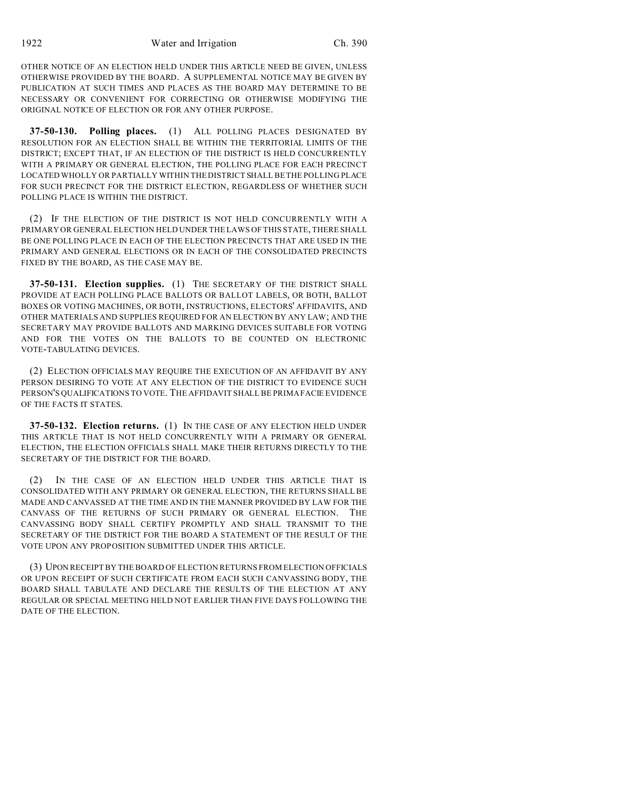OTHER NOTICE OF AN ELECTION HELD UNDER THIS ARTICLE NEED BE GIVEN, UNLESS OTHERWISE PROVIDED BY THE BOARD. A SUPPLEMENTAL NOTICE MAY BE GIVEN BY PUBLICATION AT SUCH TIMES AND PLACES AS THE BOARD MAY DETERMINE TO BE NECESSARY OR CONVENIENT FOR CORRECTING OR OTHERWISE MODIFYING THE ORIGINAL NOTICE OF ELECTION OR FOR ANY OTHER PURPOSE.

**37-50-130. Polling places.** (1) ALL POLLING PLACES DESIGNATED BY RESOLUTION FOR AN ELECTION SHALL BE WITHIN THE TERRITORIAL LIMITS OF THE DISTRICT; EXCEPT THAT, IF AN ELECTION OF THE DISTRICT IS HELD CONCURRENTLY WITH A PRIMARY OR GENERAL ELECTION, THE POLLING PLACE FOR EACH PRECINCT LOCATED WHOLLY OR PARTIALLY WITHIN THE DISTRICT SHALL BE THE POLLING PLACE FOR SUCH PRECINCT FOR THE DISTRICT ELECTION, REGARDLESS OF WHETHER SUCH POLLING PLACE IS WITHIN THE DISTRICT.

(2) IF THE ELECTION OF THE DISTRICT IS NOT HELD CONCURRENTLY WITH A PRIMARY OR GENERAL ELECTION HELD UNDER THE LAWS OF THIS STATE, THERE SHALL BE ONE POLLING PLACE IN EACH OF THE ELECTION PRECINCTS THAT ARE USED IN THE PRIMARY AND GENERAL ELECTIONS OR IN EACH OF THE CONSOLIDATED PRECINCTS FIXED BY THE BOARD, AS THE CASE MAY BE.

**37-50-131. Election supplies.** (1) THE SECRETARY OF THE DISTRICT SHALL PROVIDE AT EACH POLLING PLACE BALLOTS OR BALLOT LABELS, OR BOTH, BALLOT BOXES OR VOTING MACHINES, OR BOTH, INSTRUCTIONS, ELECTORS' AFFIDAVITS, AND OTHER MATERIALS AND SUPPLIES REQUIRED FOR AN ELECTION BY ANY LAW; AND THE SECRETARY MAY PROVIDE BALLOTS AND MARKING DEVICES SUITABLE FOR VOTING AND FOR THE VOTES ON THE BALLOTS TO BE COUNTED ON ELECTRONIC VOTE-TABULATING DEVICES.

(2) ELECTION OFFICIALS MAY REQUIRE THE EXECUTION OF AN AFFIDAVIT BY ANY PERSON DESIRING TO VOTE AT ANY ELECTION OF THE DISTRICT TO EVIDENCE SUCH PERSON'S QUALIFICATIONS TO VOTE. THE AFFIDAVIT SHALL BE PRIMA FACIE EVIDENCE OF THE FACTS IT STATES.

**37-50-132. Election returns.** (1) IN THE CASE OF ANY ELECTION HELD UNDER THIS ARTICLE THAT IS NOT HELD CONCURRENTLY WITH A PRIMARY OR GENERAL ELECTION, THE ELECTION OFFICIALS SHALL MAKE THEIR RETURNS DIRECTLY TO THE SECRETARY OF THE DISTRICT FOR THE BOARD.

(2) IN THE CASE OF AN ELECTION HELD UNDER THIS ARTICLE THAT IS CONSOLIDATED WITH ANY PRIMARY OR GENERAL ELECTION, THE RETURNS SHALL BE MADE AND CANVASSED AT THE TIME AND IN THE MANNER PROVIDED BY LAW FOR THE CANVASS OF THE RETURNS OF SUCH PRIMARY OR GENERAL ELECTION. THE CANVASSING BODY SHALL CERTIFY PROMPTLY AND SHALL TRANSMIT TO THE SECRETARY OF THE DISTRICT FOR THE BOARD A STATEMENT OF THE RESULT OF THE VOTE UPON ANY PROPOSITION SUBMITTED UNDER THIS ARTICLE.

(3) UPON RECEIPT BY THE BOARD OF ELECTION RETURNS FROM ELECTION OFFICIALS OR UPON RECEIPT OF SUCH CERTIFICATE FROM EACH SUCH CANVASSING BODY, THE BOARD SHALL TABULATE AND DECLARE THE RESULTS OF THE ELECTION AT ANY REGULAR OR SPECIAL MEETING HELD NOT EARLIER THAN FIVE DAYS FOLLOWING THE DATE OF THE ELECTION.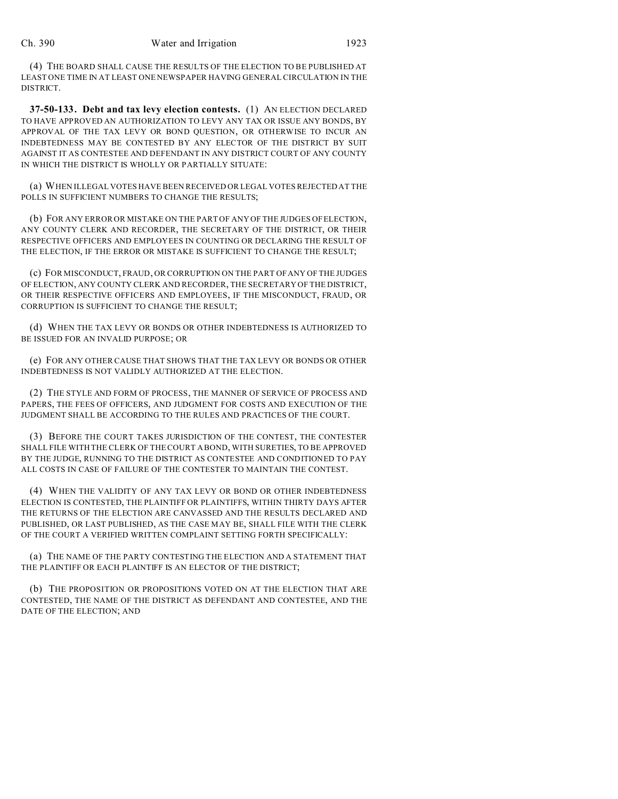(4) THE BOARD SHALL CAUSE THE RESULTS OF THE ELECTION TO BE PUBLISHED AT LEAST ONE TIME IN AT LEAST ONE NEWSPAPER HAVING GENERAL CIRCULATION IN THE DISTRICT.

**37-50-133. Debt and tax levy election contests.** (1) AN ELECTION DECLARED TO HAVE APPROVED AN AUTHORIZATION TO LEVY ANY TAX OR ISSUE ANY BONDS, BY APPROVAL OF THE TAX LEVY OR BOND QUESTION, OR OTHERWISE TO INCUR AN INDEBTEDNESS MAY BE CONTESTED BY ANY ELECTOR OF THE DISTRICT BY SUIT AGAINST IT AS CONTESTEE AND DEFENDANT IN ANY DISTRICT COURT OF ANY COUNTY IN WHICH THE DISTRICT IS WHOLLY OR PARTIALLY SITUATE:

(a) WHEN ILLEGAL VOTES HAVE BEEN RECEIVED OR LEGAL VOTES REJECTED AT THE POLLS IN SUFFICIENT NUMBERS TO CHANGE THE RESULTS:

(b) FOR ANY ERROR OR MISTAKE ON THE PART OF ANY OF THE JUDGES OF ELECTION, ANY COUNTY CLERK AND RECORDER, THE SECRETARY OF THE DISTRICT, OR THEIR RESPECTIVE OFFICERS AND EMPLOYEES IN COUNTING OR DECLARING THE RESULT OF THE ELECTION, IF THE ERROR OR MISTAKE IS SUFFICIENT TO CHANGE THE RESULT;

(c) FOR MISCONDUCT, FRAUD, OR CORRUPTION ON THE PART OF ANY OF THE JUDGES OF ELECTION, ANY COUNTY CLERK AND RECORDER, THE SECRETARY OF THE DISTRICT, OR THEIR RESPECTIVE OFFICERS AND EMPLOYEES, IF THE MISCONDUCT, FRAUD, OR CORRUPTION IS SUFFICIENT TO CHANGE THE RESULT;

(d) WHEN THE TAX LEVY OR BONDS OR OTHER INDEBTEDNESS IS AUTHORIZED TO BE ISSUED FOR AN INVALID PURPOSE; OR

(e) FOR ANY OTHER CAUSE THAT SHOWS THAT THE TAX LEVY OR BONDS OR OTHER INDEBTEDNESS IS NOT VALIDLY AUTHORIZED AT THE ELECTION.

(2) THE STYLE AND FORM OF PROCESS, THE MANNER OF SERVICE OF PROCESS AND PAPERS, THE FEES OF OFFICERS, AND JUDGMENT FOR COSTS AND EXECUTION OF THE JUDGMENT SHALL BE ACCORDING TO THE RULES AND PRACTICES OF THE COURT.

(3) BEFORE THE COURT TAKES JURISDICTION OF THE CONTEST, THE CONTESTER SHALL FILE WITH THE CLERK OF THE COURT A BOND, WITH SURETIES, TO BE APPROVED BY THE JUDGE, RUNNING TO THE DISTRICT AS CONTESTEE AND CONDITIONED TO PAY ALL COSTS IN CASE OF FAILURE OF THE CONTESTER TO MAINTAIN THE CONTEST.

(4) WHEN THE VALIDITY OF ANY TAX LEVY OR BOND OR OTHER INDEBTEDNESS ELECTION IS CONTESTED, THE PLAINTIFF OR PLAINTIFFS, WITHIN THIRTY DAYS AFTER THE RETURNS OF THE ELECTION ARE CANVASSED AND THE RESULTS DECLARED AND PUBLISHED, OR LAST PUBLISHED, AS THE CASE MAY BE, SHALL FILE WITH THE CLERK OF THE COURT A VERIFIED WRITTEN COMPLAINT SETTING FORTH SPECIFICALLY:

(a) THE NAME OF THE PARTY CONTESTING THE ELECTION AND A STATEMENT THAT THE PLAINTIFF OR EACH PLAINTIFF IS AN ELECTOR OF THE DISTRICT;

(b) THE PROPOSITION OR PROPOSITIONS VOTED ON AT THE ELECTION THAT ARE CONTESTED, THE NAME OF THE DISTRICT AS DEFENDANT AND CONTESTEE, AND THE DATE OF THE ELECTION; AND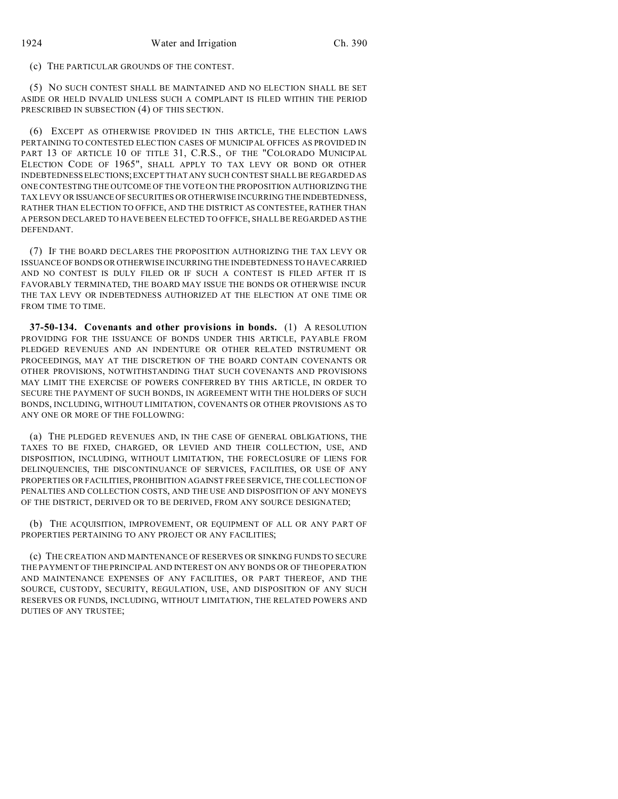(c) THE PARTICULAR GROUNDS OF THE CONTEST.

(5) NO SUCH CONTEST SHALL BE MAINTAINED AND NO ELECTION SHALL BE SET ASIDE OR HELD INVALID UNLESS SUCH A COMPLAINT IS FILED WITHIN THE PERIOD PRESCRIBED IN SUBSECTION (4) OF THIS SECTION.

(6) EXCEPT AS OTHERWISE PROVIDED IN THIS ARTICLE, THE ELECTION LAWS PERTAINING TO CONTESTED ELECTION CASES OF MUNICIPAL OFFICES AS PROVIDED IN PART 13 OF ARTICLE 10 OF TITLE 31, C.R.S., OF THE "COLORADO MUNICIPAL ELECTION CODE OF 1965", SHALL APPLY TO TAX LEVY OR BOND OR OTHER INDEBTEDNESS ELECTIONS; EXCEPT THAT ANY SUCH CONTEST SHALL BE REGARDED AS ONE CONTESTING THE OUTCOME OF THE VOTE ON THE PROPOSITION AUTHORIZING THE TAX LEVY OR ISSUANCE OF SECURITIES OR OTHERWISE INCURRING THE INDEBTEDNESS, RATHER THAN ELECTION TO OFFICE, AND THE DISTRICT AS CONTESTEE, RATHER THAN A PERSON DECLARED TO HAVE BEEN ELECTED TO OFFICE, SHALL BE REGARDED AS THE DEFENDANT.

(7) IF THE BOARD DECLARES THE PROPOSITION AUTHORIZING THE TAX LEVY OR ISSUANCE OF BONDS OR OTHERWISE INCURRING THE INDEBTEDNESS TO HAVE CARRIED AND NO CONTEST IS DULY FILED OR IF SUCH A CONTEST IS FILED AFTER IT IS FAVORABLY TERMINATED, THE BOARD MAY ISSUE THE BONDS OR OTHERWISE INCUR THE TAX LEVY OR INDEBTEDNESS AUTHORIZED AT THE ELECTION AT ONE TIME OR FROM TIME TO TIME.

**37-50-134. Covenants and other provisions in bonds.** (1) A RESOLUTION PROVIDING FOR THE ISSUANCE OF BONDS UNDER THIS ARTICLE, PAYABLE FROM PLEDGED REVENUES AND AN INDENTURE OR OTHER RELATED INSTRUMENT OR PROCEEDINGS, MAY AT THE DISCRETION OF THE BOARD CONTAIN COVENANTS OR OTHER PROVISIONS, NOTWITHSTANDING THAT SUCH COVENANTS AND PROVISIONS MAY LIMIT THE EXERCISE OF POWERS CONFERRED BY THIS ARTICLE, IN ORDER TO SECURE THE PAYMENT OF SUCH BONDS, IN AGREEMENT WITH THE HOLDERS OF SUCH BONDS, INCLUDING, WITHOUT LIMITATION, COVENANTS OR OTHER PROVISIONS AS TO ANY ONE OR MORE OF THE FOLLOWING:

(a) THE PLEDGED REVENUES AND, IN THE CASE OF GENERAL OBLIGATIONS, THE TAXES TO BE FIXED, CHARGED, OR LEVIED AND THEIR COLLECTION, USE, AND DISPOSITION, INCLUDING, WITHOUT LIMITATION, THE FORECLOSURE OF LIENS FOR DELINQUENCIES, THE DISCONTINUANCE OF SERVICES, FACILITIES, OR USE OF ANY PROPERTIES OR FACILITIES, PROHIBITION AGAINST FREE SERVICE, THE COLLECTION OF PENALTIES AND COLLECTION COSTS, AND THE USE AND DISPOSITION OF ANY MONEYS OF THE DISTRICT, DERIVED OR TO BE DERIVED, FROM ANY SOURCE DESIGNATED;

(b) THE ACQUISITION, IMPROVEMENT, OR EQUIPMENT OF ALL OR ANY PART OF PROPERTIES PERTAINING TO ANY PROJECT OR ANY FACILITIES;

(c) THE CREATION AND MAINTENANCE OF RESERVES OR SINKING FUNDS TO SECURE THE PAYMENT OF THE PRINCIPAL AND INTEREST ON ANY BONDS OR OF THE OPERATION AND MAINTENANCE EXPENSES OF ANY FACILITIES, OR PART THEREOF, AND THE SOURCE, CUSTODY, SECURITY, REGULATION, USE, AND DISPOSITION OF ANY SUCH RESERVES OR FUNDS, INCLUDING, WITHOUT LIMITATION, THE RELATED POWERS AND DUTIES OF ANY TRUSTEE;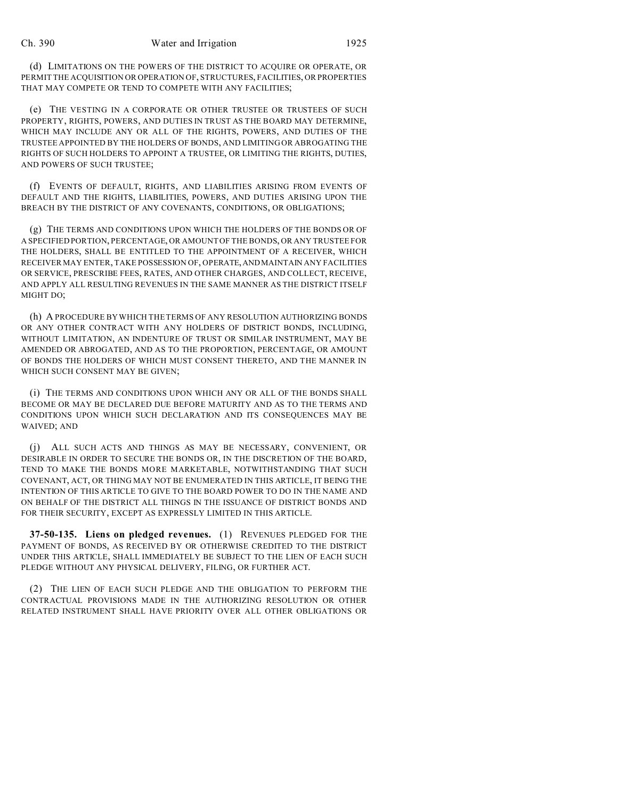(d) LIMITATIONS ON THE POWERS OF THE DISTRICT TO ACQUIRE OR OPERATE, OR PERMIT THE ACQUISITION OR OPERATION OF, STRUCTURES, FACILITIES, OR PROPERTIES THAT MAY COMPETE OR TEND TO COMPETE WITH ANY FACILITIES;

(e) THE VESTING IN A CORPORATE OR OTHER TRUSTEE OR TRUSTEES OF SUCH PROPERTY, RIGHTS, POWERS, AND DUTIES IN TRUST AS THE BOARD MAY DETERMINE, WHICH MAY INCLUDE ANY OR ALL OF THE RIGHTS, POWERS, AND DUTIES OF THE TRUSTEE APPOINTED BY THE HOLDERS OF BONDS, AND LIMITING OR ABROGATING THE RIGHTS OF SUCH HOLDERS TO APPOINT A TRUSTEE, OR LIMITING THE RIGHTS, DUTIES, AND POWERS OF SUCH TRUSTEE;

(f) EVENTS OF DEFAULT, RIGHTS, AND LIABILITIES ARISING FROM EVENTS OF DEFAULT AND THE RIGHTS, LIABILITIES, POWERS, AND DUTIES ARISING UPON THE BREACH BY THE DISTRICT OF ANY COVENANTS, CONDITIONS, OR OBLIGATIONS;

(g) THE TERMS AND CONDITIONS UPON WHICH THE HOLDERS OF THE BONDS OR OF A SPECIFIED PORTION, PERCENTAGE, OR AMOUNT OF THE BONDS, OR ANY TRUSTEE FOR THE HOLDERS, SHALL BE ENTITLED TO THE APPOINTMENT OF A RECEIVER, WHICH RECEIVER MAY ENTER, TAKE POSSESSION OF, OPERATE,AND MAINTAIN ANY FACILITIES OR SERVICE, PRESCRIBE FEES, RATES, AND OTHER CHARGES, AND COLLECT, RECEIVE, AND APPLY ALL RESULTING REVENUES IN THE SAME MANNER AS THE DISTRICT ITSELF MIGHT DO;

(h) A PROCEDURE BY WHICH THE TERMS OF ANY RESOLUTION AUTHORIZING BONDS OR ANY OTHER CONTRACT WITH ANY HOLDERS OF DISTRICT BONDS, INCLUDING, WITHOUT LIMITATION, AN INDENTURE OF TRUST OR SIMILAR INSTRUMENT, MAY BE AMENDED OR ABROGATED, AND AS TO THE PROPORTION, PERCENTAGE, OR AMOUNT OF BONDS THE HOLDERS OF WHICH MUST CONSENT THERETO, AND THE MANNER IN WHICH SUCH CONSENT MAY BE GIVEN;

(i) THE TERMS AND CONDITIONS UPON WHICH ANY OR ALL OF THE BONDS SHALL BECOME OR MAY BE DECLARED DUE BEFORE MATURITY AND AS TO THE TERMS AND CONDITIONS UPON WHICH SUCH DECLARATION AND ITS CONSEQUENCES MAY BE WAIVED; AND

(j) ALL SUCH ACTS AND THINGS AS MAY BE NECESSARY, CONVENIENT, OR DESIRABLE IN ORDER TO SECURE THE BONDS OR, IN THE DISCRETION OF THE BOARD, TEND TO MAKE THE BONDS MORE MARKETABLE, NOTWITHSTANDING THAT SUCH COVENANT, ACT, OR THING MAY NOT BE ENUMERATED IN THIS ARTICLE, IT BEING THE INTENTION OF THIS ARTICLE TO GIVE TO THE BOARD POWER TO DO IN THE NAME AND ON BEHALF OF THE DISTRICT ALL THINGS IN THE ISSUANCE OF DISTRICT BONDS AND FOR THEIR SECURITY, EXCEPT AS EXPRESSLY LIMITED IN THIS ARTICLE.

**37-50-135. Liens on pledged revenues.** (1) REVENUES PLEDGED FOR THE PAYMENT OF BONDS, AS RECEIVED BY OR OTHERWISE CREDITED TO THE DISTRICT UNDER THIS ARTICLE, SHALL IMMEDIATELY BE SUBJECT TO THE LIEN OF EACH SUCH PLEDGE WITHOUT ANY PHYSICAL DELIVERY, FILING, OR FURTHER ACT.

(2) THE LIEN OF EACH SUCH PLEDGE AND THE OBLIGATION TO PERFORM THE CONTRACTUAL PROVISIONS MADE IN THE AUTHORIZING RESOLUTION OR OTHER RELATED INSTRUMENT SHALL HAVE PRIORITY OVER ALL OTHER OBLIGATIONS OR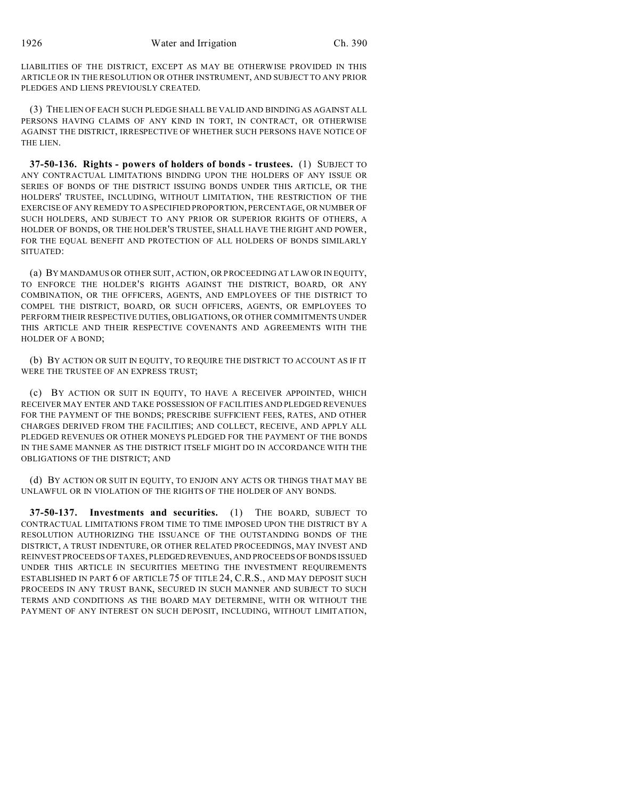LIABILITIES OF THE DISTRICT, EXCEPT AS MAY BE OTHERWISE PROVIDED IN THIS ARTICLE OR IN THE RESOLUTION OR OTHER INSTRUMENT, AND SUBJECT TO ANY PRIOR PLEDGES AND LIENS PREVIOUSLY CREATED.

(3) THE LIEN OF EACH SUCH PLEDGE SHALL BE VALID AND BINDING AS AGAINST ALL PERSONS HAVING CLAIMS OF ANY KIND IN TORT, IN CONTRACT, OR OTHERWISE AGAINST THE DISTRICT, IRRESPECTIVE OF WHETHER SUCH PERSONS HAVE NOTICE OF THE LIEN.

**37-50-136. Rights - powers of holders of bonds - trustees.** (1) SUBJECT TO ANY CONTRACTUAL LIMITATIONS BINDING UPON THE HOLDERS OF ANY ISSUE OR SERIES OF BONDS OF THE DISTRICT ISSUING BONDS UNDER THIS ARTICLE, OR THE HOLDERS' TRUSTEE, INCLUDING, WITHOUT LIMITATION, THE RESTRICTION OF THE EXERCISE OF ANY REMEDY TO A SPECIFIED PROPORTION, PERCENTAGE, OR NUMBER OF SUCH HOLDERS, AND SUBJECT TO ANY PRIOR OR SUPERIOR RIGHTS OF OTHERS, A HOLDER OF BONDS, OR THE HOLDER'S TRUSTEE, SHALL HAVE THE RIGHT AND POWER, FOR THE EQUAL BENEFIT AND PROTECTION OF ALL HOLDERS OF BONDS SIMILARLY SITUATED:

(a) BY MANDAMUS OR OTHER SUIT, ACTION, OR PROCEEDING AT LAW OR IN EQUITY, TO ENFORCE THE HOLDER'S RIGHTS AGAINST THE DISTRICT, BOARD, OR ANY COMBINATION, OR THE OFFICERS, AGENTS, AND EMPLOYEES OF THE DISTRICT TO COMPEL THE DISTRICT, BOARD, OR SUCH OFFICERS, AGENTS, OR EMPLOYEES TO PERFORM THEIR RESPECTIVE DUTIES, OBLIGATIONS, OR OTHER COMMITMENTS UNDER THIS ARTICLE AND THEIR RESPECTIVE COVENANTS AND AGREEMENTS WITH THE HOLDER OF A BOND;

(b) BY ACTION OR SUIT IN EQUITY, TO REQUIRE THE DISTRICT TO ACCOUNT AS IF IT WERE THE TRUSTEE OF AN EXPRESS TRUST;

(c) BY ACTION OR SUIT IN EQUITY, TO HAVE A RECEIVER APPOINTED, WHICH RECEIVER MAY ENTER AND TAKE POSSESSION OF FACILITIES AND PLEDGED REVENUES FOR THE PAYMENT OF THE BONDS; PRESCRIBE SUFFICIENT FEES, RATES, AND OTHER CHARGES DERIVED FROM THE FACILITIES; AND COLLECT, RECEIVE, AND APPLY ALL PLEDGED REVENUES OR OTHER MONEYS PLEDGED FOR THE PAYMENT OF THE BONDS IN THE SAME MANNER AS THE DISTRICT ITSELF MIGHT DO IN ACCORDANCE WITH THE OBLIGATIONS OF THE DISTRICT; AND

(d) BY ACTION OR SUIT IN EQUITY, TO ENJOIN ANY ACTS OR THINGS THAT MAY BE UNLAWFUL OR IN VIOLATION OF THE RIGHTS OF THE HOLDER OF ANY BONDS.

**37-50-137. Investments and securities.** (1) THE BOARD, SUBJECT TO CONTRACTUAL LIMITATIONS FROM TIME TO TIME IMPOSED UPON THE DISTRICT BY A RESOLUTION AUTHORIZING THE ISSUANCE OF THE OUTSTANDING BONDS OF THE DISTRICT, A TRUST INDENTURE, OR OTHER RELATED PROCEEDINGS, MAY INVEST AND REINVEST PROCEEDS OF TAXES, PLEDGED REVENUES, AND PROCEEDS OF BONDS ISSUED UNDER THIS ARTICLE IN SECURITIES MEETING THE INVESTMENT REQUIREMENTS ESTABLISHED IN PART 6 OF ARTICLE 75 OF TITLE 24, C.R.S., AND MAY DEPOSIT SUCH PROCEEDS IN ANY TRUST BANK, SECURED IN SUCH MANNER AND SUBJECT TO SUCH TERMS AND CONDITIONS AS THE BOARD MAY DETERMINE, WITH OR WITHOUT THE PAYMENT OF ANY INTEREST ON SUCH DEPOSIT, INCLUDING, WITHOUT LIMITATION,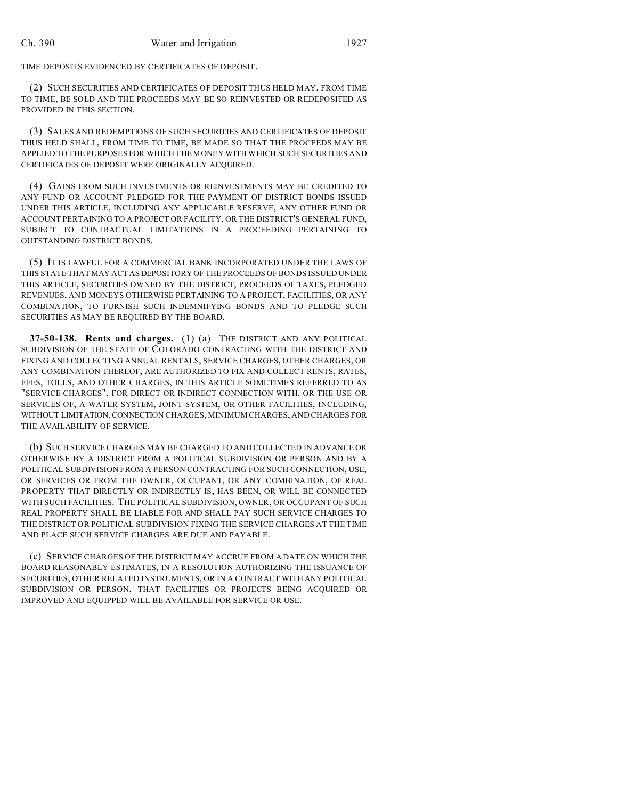TIME DEPOSITS EVIDENCED BY CERTIFICATES OF DEPOSIT.

(2) SUCH SECURITIES AND CERTIFICATES OF DEPOSIT THUS HELD MAY, FROM TIME TO TIME, BE SOLD AND THE PROCEEDS MAY BE SO REINVESTED OR REDEPOSITED AS PROVIDED IN THIS SECTION.

(3) SALES AND REDEMPTIONS OF SUCH SECURITIES AND CERTIFICATES OF DEPOSIT THUS HELD SHALL, FROM TIME TO TIME, BE MADE SO THAT THE PROCEEDS MAY BE APPLIED TO THE PURPOSES FOR WHICH THE MONEY WITH WHICH SUCH SECURITIES AND CERTIFICATES OF DEPOSIT WERE ORIGINALLY ACQUIRED.

(4) GAINS FROM SUCH INVESTMENTS OR REINVESTMENTS MAY BE CREDITED TO ANY FUND OR ACCOUNT PLEDGED FOR THE PAYMENT OF DISTRICT BONDS ISSUED UNDER THIS ARTICLE, INCLUDING ANY APPLICABLE RESERVE, ANY OTHER FUND OR ACCOUNT PERTAINING TO A PROJECT OR FACILITY, OR THE DISTRICT'S GENERAL FUND, SUBJECT TO CONTRACTUAL LIMITATIONS IN A PROCEEDING PERTAINING TO OUTSTANDING DISTRICT BONDS.

(5) IT IS LAWFUL FOR A COMMERCIAL BANK INCORPORATED UNDER THE LAWS OF THIS STATE THAT MAY ACT AS DEPOSITORY OF THE PROCEEDS OF BONDS ISSUED UNDER THIS ARTICLE, SECURITIES OWNED BY THE DISTRICT, PROCEEDS OF TAXES, PLEDGED REVENUES, AND MONEYS OTHERWISE PERTAINING TO A PROJECT, FACILITIES, OR ANY COMBINATION, TO FURNISH SUCH INDEMNIFYING BONDS AND TO PLEDGE SUCH SECURITIES AS MAY BE REQUIRED BY THE BOARD.

**37-50-138. Rents and charges.** (1) (a) THE DISTRICT AND ANY POLITICAL SUBDIVISION OF THE STATE OF COLORADO CONTRACTING WITH THE DISTRICT AND FIXING AND COLLECTING ANNUAL RENTALS, SERVICE CHARGES, OTHER CHARGES, OR ANY COMBINATION THEREOF, ARE AUTHORIZED TO FIX AND COLLECT RENTS, RATES, FEES, TOLLS, AND OTHER CHARGES, IN THIS ARTICLE SOMETIMES REFERRED TO AS "SERVICE CHARGES", FOR DIRECT OR INDIRECT CONNECTION WITH, OR THE USE OR SERVICES OF, A WATER SYSTEM, JOINT SYSTEM, OR OTHER FACILITIES, INCLUDING, WITHOUT LIMITATION,CONNECTION CHARGES, MINIMUM CHARGES, AND CHARGES FOR THE AVAILABILITY OF SERVICE.

(b) SUCH SERVICE CHARGES MAY BE CHARGED TO AND COLLECTED IN ADVANCE OR OTHERWISE BY A DISTRICT FROM A POLITICAL SUBDIVISION OR PERSON AND BY A POLITICAL SUBDIVISION FROM A PERSON CONTRACTING FOR SUCH CONNECTION, USE, OR SERVICES OR FROM THE OWNER, OCCUPANT, OR ANY COMBINATION, OF REAL PROPERTY THAT DIRECTLY OR INDIRECTLY IS, HAS BEEN, OR WILL BE CONNECTED WITH SUCH FACILITIES. THE POLITICAL SUBDIVISION, OWNER, OR OCCUPANT OF SUCH REAL PROPERTY SHALL BE LIABLE FOR AND SHALL PAY SUCH SERVICE CHARGES TO THE DISTRICT OR POLITICAL SUBDIVISION FIXING THE SERVICE CHARGES AT THE TIME AND PLACE SUCH SERVICE CHARGES ARE DUE AND PAYABLE.

(c) SERVICE CHARGES OF THE DISTRICT MAY ACCRUE FROM A DATE ON WHICH THE BOARD REASONABLY ESTIMATES, IN A RESOLUTION AUTHORIZING THE ISSUANCE OF SECURITIES, OTHER RELATED INSTRUMENTS, OR IN A CONTRACT WITH ANY POLITICAL SUBDIVISION OR PERSON, THAT FACILITIES OR PROJECTS BEING ACQUIRED OR IMPROVED AND EQUIPPED WILL BE AVAILABLE FOR SERVICE OR USE.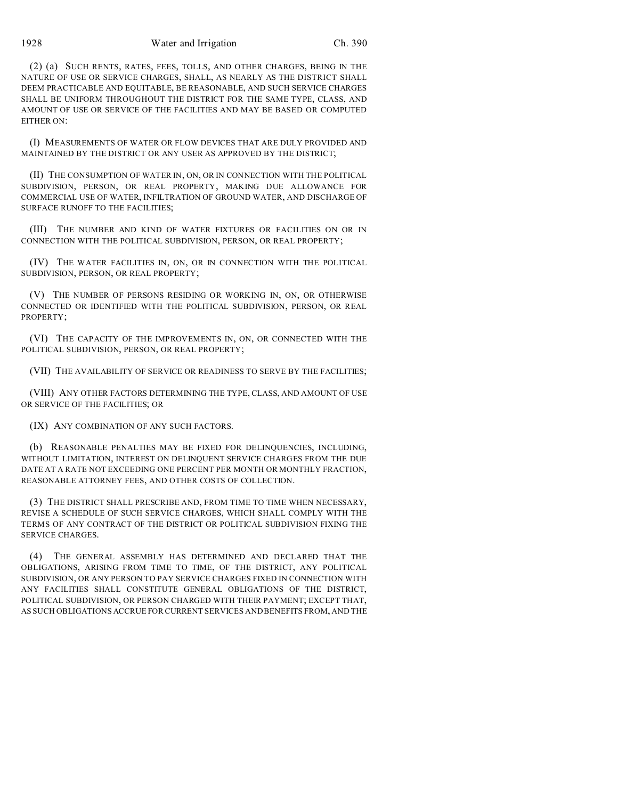1928 Water and Irrigation Ch. 390

(2) (a) SUCH RENTS, RATES, FEES, TOLLS, AND OTHER CHARGES, BEING IN THE NATURE OF USE OR SERVICE CHARGES, SHALL, AS NEARLY AS THE DISTRICT SHALL DEEM PRACTICABLE AND EQUITABLE, BE REASONABLE, AND SUCH SERVICE CHARGES SHALL BE UNIFORM THROUGHOUT THE DISTRICT FOR THE SAME TYPE, CLASS, AND AMOUNT OF USE OR SERVICE OF THE FACILITIES AND MAY BE BASED OR COMPUTED EITHER ON:

(I) MEASUREMENTS OF WATER OR FLOW DEVICES THAT ARE DULY PROVIDED AND MAINTAINED BY THE DISTRICT OR ANY USER AS APPROVED BY THE DISTRICT;

(II) THE CONSUMPTION OF WATER IN, ON, OR IN CONNECTION WITH THE POLITICAL SUBDIVISION, PERSON, OR REAL PROPERTY, MAKING DUE ALLOWANCE FOR COMMERCIAL USE OF WATER, INFILTRATION OF GROUND WATER, AND DISCHARGE OF SURFACE RUNOFF TO THE FACILITIES;

(III) THE NUMBER AND KIND OF WATER FIXTURES OR FACILITIES ON OR IN CONNECTION WITH THE POLITICAL SUBDIVISION, PERSON, OR REAL PROPERTY;

(IV) THE WATER FACILITIES IN, ON, OR IN CONNECTION WITH THE POLITICAL SUBDIVISION, PERSON, OR REAL PROPERTY;

(V) THE NUMBER OF PERSONS RESIDING OR WORKING IN, ON, OR OTHERWISE CONNECTED OR IDENTIFIED WITH THE POLITICAL SUBDIVISION, PERSON, OR REAL PROPERTY;

(VI) THE CAPACITY OF THE IMPROVEMENTS IN, ON, OR CONNECTED WITH THE POLITICAL SUBDIVISION, PERSON, OR REAL PROPERTY;

(VII) THE AVAILABILITY OF SERVICE OR READINESS TO SERVE BY THE FACILITIES;

(VIII) ANY OTHER FACTORS DETERMINING THE TYPE, CLASS, AND AMOUNT OF USE OR SERVICE OF THE FACILITIES; OR

(IX) ANY COMBINATION OF ANY SUCH FACTORS.

(b) REASONABLE PENALTIES MAY BE FIXED FOR DELINQUENCIES, INCLUDING, WITHOUT LIMITATION, INTEREST ON DELINQUENT SERVICE CHARGES FROM THE DUE DATE AT A RATE NOT EXCEEDING ONE PERCENT PER MONTH OR MONTHLY FRACTION, REASONABLE ATTORNEY FEES, AND OTHER COSTS OF COLLECTION.

(3) THE DISTRICT SHALL PRESCRIBE AND, FROM TIME TO TIME WHEN NECESSARY, REVISE A SCHEDULE OF SUCH SERVICE CHARGES, WHICH SHALL COMPLY WITH THE TERMS OF ANY CONTRACT OF THE DISTRICT OR POLITICAL SUBDIVISION FIXING THE SERVICE CHARGES.

(4) THE GENERAL ASSEMBLY HAS DETERMINED AND DECLARED THAT THE OBLIGATIONS, ARISING FROM TIME TO TIME, OF THE DISTRICT, ANY POLITICAL SUBDIVISION, OR ANY PERSON TO PAY SERVICE CHARGES FIXED IN CONNECTION WITH ANY FACILITIES SHALL CONSTITUTE GENERAL OBLIGATIONS OF THE DISTRICT, POLITICAL SUBDIVISION, OR PERSON CHARGED WITH THEIR PAYMENT; EXCEPT THAT, AS SUCH OBLIGATIONS ACCRUE FOR CURRENT SERVICES AND BENEFITS FROM, AND THE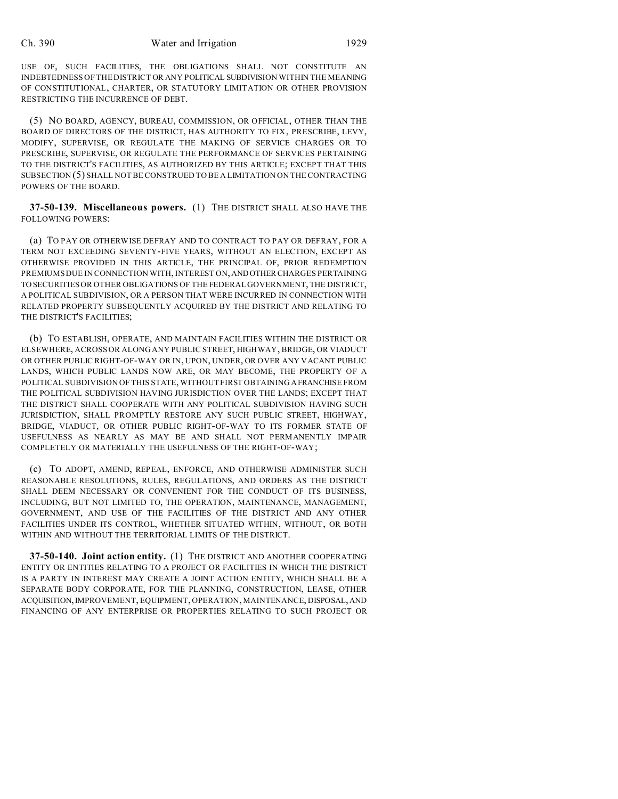USE OF, SUCH FACILITIES, THE OBLIGATIONS SHALL NOT CONSTITUTE AN INDEBTEDNESS OF THE DISTRICT OR ANY POLITICAL SUBDIVISION WITHIN THE MEANING OF CONSTITUTIONAL, CHARTER, OR STATUTORY LIMITATION OR OTHER PROVISION RESTRICTING THE INCURRENCE OF DEBT.

(5) NO BOARD, AGENCY, BUREAU, COMMISSION, OR OFFICIAL, OTHER THAN THE BOARD OF DIRECTORS OF THE DISTRICT, HAS AUTHORITY TO FIX, PRESCRIBE, LEVY, MODIFY, SUPERVISE, OR REGULATE THE MAKING OF SERVICE CHARGES OR TO PRESCRIBE, SUPERVISE, OR REGULATE THE PERFORMANCE OF SERVICES PERTAINING TO THE DISTRICT'S FACILITIES, AS AUTHORIZED BY THIS ARTICLE; EXCEPT THAT THIS SUBSECTION (5) SHALL NOT BE CONSTRUED TO BE A LIMITATION ON THE CONTRACTING POWERS OF THE BOARD.

**37-50-139. Miscellaneous powers.** (1) THE DISTRICT SHALL ALSO HAVE THE FOLLOWING POWERS:

(a) TO PAY OR OTHERWISE DEFRAY AND TO CONTRACT TO PAY OR DEFRAY, FOR A TERM NOT EXCEEDING SEVENTY-FIVE YEARS, WITHOUT AN ELECTION, EXCEPT AS OTHERWISE PROVIDED IN THIS ARTICLE, THE PRINCIPAL OF, PRIOR REDEMPTION PREMIUMS DUE IN CONNECTION WITH, INTEREST ON,ANDOTHERCHARGES PERTAINING TO SECURITIES OR OTHER OBLIGATIONS OF THE FEDERAL GOVERNMENT, THE DISTRICT, A POLITICAL SUBDIVISION, OR A PERSON THAT WERE INCURRED IN CONNECTION WITH RELATED PROPERTY SUBSEQUENTLY ACQUIRED BY THE DISTRICT AND RELATING TO THE DISTRICT'S FACILITIES;

(b) TO ESTABLISH, OPERATE, AND MAINTAIN FACILITIES WITHIN THE DISTRICT OR ELSEWHERE, ACROSS OR ALONG ANY PUBLIC STREET, HIGHWAY, BRIDGE, OR VIADUCT OR OTHER PUBLIC RIGHT-OF-WAY OR IN, UPON, UNDER, OR OVER ANY VACANT PUBLIC LANDS, WHICH PUBLIC LANDS NOW ARE, OR MAY BECOME, THE PROPERTY OF A POLITICAL SUBDIVISION OF THIS STATE, WITHOUT FIRST OBTAINING AFRANCHISE FROM THE POLITICAL SUBDIVISION HAVING JURISDICTION OVER THE LANDS; EXCEPT THAT THE DISTRICT SHALL COOPERATE WITH ANY POLITICAL SUBDIVISION HAVING SUCH JURISDICTION, SHALL PROMPTLY RESTORE ANY SUCH PUBLIC STREET, HIGHWAY, BRIDGE, VIADUCT, OR OTHER PUBLIC RIGHT-OF-WAY TO ITS FORMER STATE OF USEFULNESS AS NEARLY AS MAY BE AND SHALL NOT PERMANENTLY IMPAIR COMPLETELY OR MATERIALLY THE USEFULNESS OF THE RIGHT-OF-WAY;

(c) TO ADOPT, AMEND, REPEAL, ENFORCE, AND OTHERWISE ADMINISTER SUCH REASONABLE RESOLUTIONS, RULES, REGULATIONS, AND ORDERS AS THE DISTRICT SHALL DEEM NECESSARY OR CONVENIENT FOR THE CONDUCT OF ITS BUSINESS, INCLUDING, BUT NOT LIMITED TO, THE OPERATION, MAINTENANCE, MANAGEMENT, GOVERNMENT, AND USE OF THE FACILITIES OF THE DISTRICT AND ANY OTHER FACILITIES UNDER ITS CONTROL, WHETHER SITUATED WITHIN, WITHOUT, OR BOTH WITHIN AND WITHOUT THE TERRITORIAL LIMITS OF THE DISTRICT.

**37-50-140. Joint action entity.** (1) THE DISTRICT AND ANOTHER COOPERATING ENTITY OR ENTITIES RELATING TO A PROJECT OR FACILITIES IN WHICH THE DISTRICT IS A PARTY IN INTEREST MAY CREATE A JOINT ACTION ENTITY, WHICH SHALL BE A SEPARATE BODY CORPORATE, FOR THE PLANNING, CONSTRUCTION, LEASE, OTHER ACQUISITION,IMPROVEMENT, EQUIPMENT, OPERATION, MAINTENANCE, DISPOSAL,AND FINANCING OF ANY ENTERPRISE OR PROPERTIES RELATING TO SUCH PROJECT OR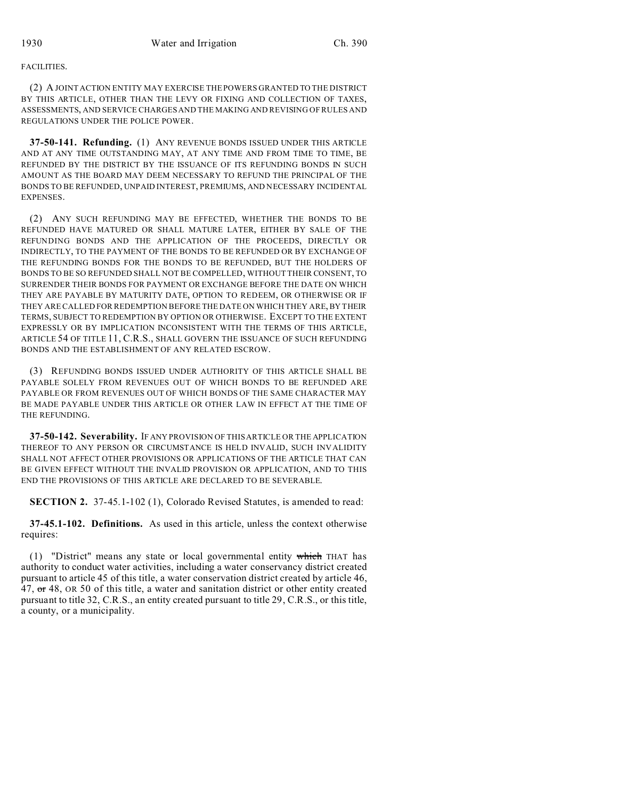#### FACILITIES.

(2) A JOINT ACTION ENTITY MAY EXERCISE THE POWERS GRANTED TO THE DISTRICT BY THIS ARTICLE, OTHER THAN THE LEVY OR FIXING AND COLLECTION OF TAXES, ASSESSMENTS, AND SERVICE CHARGES AND THE MAKING AND REVISING OF RULES AND REGULATIONS UNDER THE POLICE POWER.

**37-50-141. Refunding.** (1) ANY REVENUE BONDS ISSUED UNDER THIS ARTICLE AND AT ANY TIME OUTSTANDING MAY, AT ANY TIME AND FROM TIME TO TIME, BE REFUNDED BY THE DISTRICT BY THE ISSUANCE OF ITS REFUNDING BONDS IN SUCH AMOUNT AS THE BOARD MAY DEEM NECESSARY TO REFUND THE PRINCIPAL OF THE BONDS TO BE REFUNDED, UNPAID INTEREST, PREMIUMS, AND NECESSARY INCIDENTAL EXPENSES.

(2) ANY SUCH REFUNDING MAY BE EFFECTED, WHETHER THE BONDS TO BE REFUNDED HAVE MATURED OR SHALL MATURE LATER, EITHER BY SALE OF THE REFUNDING BONDS AND THE APPLICATION OF THE PROCEEDS, DIRECTLY OR INDIRECTLY, TO THE PAYMENT OF THE BONDS TO BE REFUNDED OR BY EXCHANGE OF THE REFUNDING BONDS FOR THE BONDS TO BE REFUNDED, BUT THE HOLDERS OF BONDS TO BE SO REFUNDED SHALL NOT BE COMPELLED, WITHOUT THEIR CONSENT, TO SURRENDER THEIR BONDS FOR PAYMENT OR EXCHANGE BEFORE THE DATE ON WHICH THEY ARE PAYABLE BY MATURITY DATE, OPTION TO REDEEM, OR OTHERWISE OR IF THEY ARE CALLED FOR REDEMPTION BEFORE THE DATE ON WHICH THEY ARE, BY THEIR TERMS, SUBJECT TO REDEMPTION BY OPTION OR OTHERWISE. EXCEPT TO THE EXTENT EXPRESSLY OR BY IMPLICATION INCONSISTENT WITH THE TERMS OF THIS ARTICLE, ARTICLE 54 OF TITLE 11, C.R.S., SHALL GOVERN THE ISSUANCE OF SUCH REFUNDING BONDS AND THE ESTABLISHMENT OF ANY RELATED ESCROW.

(3) REFUNDING BONDS ISSUED UNDER AUTHORITY OF THIS ARTICLE SHALL BE PAYABLE SOLELY FROM REVENUES OUT OF WHICH BONDS TO BE REFUNDED ARE PAYABLE OR FROM REVENUES OUT OF WHICH BONDS OF THE SAME CHARACTER MAY BE MADE PAYABLE UNDER THIS ARTICLE OR OTHER LAW IN EFFECT AT THE TIME OF THE REFUNDING.

**37-50-142. Severability.** IF ANY PROVISION OF THIS ARTICLE OR THE APPLICATION THEREOF TO ANY PERSON OR CIRCUMSTANCE IS HELD INVALID, SUCH INVALIDITY SHALL NOT AFFECT OTHER PROVISIONS OR APPLICATIONS OF THE ARTICLE THAT CAN BE GIVEN EFFECT WITHOUT THE INVALID PROVISION OR APPLICATION, AND TO THIS END THE PROVISIONS OF THIS ARTICLE ARE DECLARED TO BE SEVERABLE.

**SECTION 2.** 37-45.1-102 (1), Colorado Revised Statutes, is amended to read:

**37-45.1-102. Definitions.** As used in this article, unless the context otherwise requires:

(1) "District" means any state or local governmental entity which THAT has authority to conduct water activities, including a water conservancy district created pursuant to article 45 of this title, a water conservation district created by article 46, 47, or 48, OR 50 of this title, a water and sanitation district or other entity created pursuant to title 32, C.R.S., an entity created pursuant to title 29, C.R.S., or this title, a county, or a municipality.